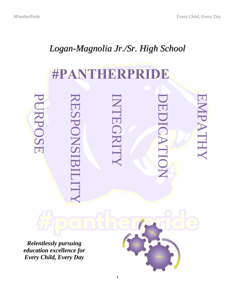# *Logan-Magnolia Jr./Sr. High School*

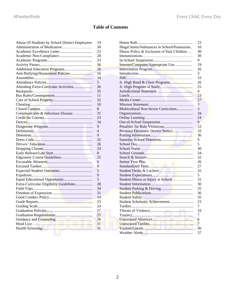## **Table of Contents**

| Abuse Of Students by School District Employees |                |                                               |                 |
|------------------------------------------------|----------------|-----------------------------------------------|-----------------|
| Administration of Medication                   | 30             | Illegal Items/Substances in School/Possession | 10              |
|                                                | 23             | Illness Policy & Exclusion of Sick Children   | 30              |
|                                                | 28             |                                               | 30              |
|                                                | 23             |                                               | 9               |
|                                                | 36             | Internet/Computer/Appropriate Use             | 19              |
|                                                | 26             |                                               | 26              |
|                                                | 16             |                                               | 3               |
|                                                | 34             |                                               | 33              |
|                                                | 5              |                                               | 26              |
| Attending Extra-Curricular Activities          | 36             |                                               | 25              |
|                                                | 35             |                                               | 4               |
|                                                | 11             |                                               | 23              |
|                                                | 32             |                                               | 27              |
|                                                | 10             |                                               | $\overline{3}$  |
|                                                | 8              | Multicultural Non-Sexist Curriculum           | 3               |
| Communicable & Infectious Disease              | 31             |                                               | 34              |
|                                                | 23             |                                               | 24              |
|                                                | 34             |                                               | 9               |
|                                                | 9              |                                               | 12              |
|                                                | $\overline{4}$ |                                               | 33              |
|                                                | 9              |                                               | 36              |
|                                                | 32             |                                               | 9               |
|                                                | 26             |                                               | 5               |
|                                                | 24             |                                               | 30              |
|                                                | $\,8\,$        |                                               | 34              |
| Edgenuity Course Guidelines                    | 25             |                                               | 32              |
|                                                | 6              | Senior Year Plus                              | 26              |
|                                                | 8              |                                               | 27              |
|                                                | 5              |                                               | 32              |
|                                                | $\overline{9}$ |                                               | 5               |
|                                                | 3              | Student Illness or Injury at School           | 31              |
| Extra-Curricular Eligibility Guidelines        | 28             |                                               | 30              |
|                                                | 34             |                                               | 35              |
|                                                | 31             |                                               | 36              |
|                                                | 14             |                                               | 35              |
|                                                | 23             |                                               | 23              |
|                                                | 24             |                                               | 7               |
|                                                | 27             |                                               | 10              |
|                                                | 25             |                                               | 7               |
|                                                | 26             |                                               | 6               |
|                                                | 31             |                                               | $7\phantom{.0}$ |
|                                                | 31             |                                               | 36              |
|                                                |                |                                               |                 |

| Abuse Of Students by School District Employees | 19             |                                               | 23             |
|------------------------------------------------|----------------|-----------------------------------------------|----------------|
| Administration of Medication                   | 30             | Illegal Items/Substances in School/Possession | 10             |
|                                                | 23             | Illness Policy & Exclusion of Sick Children   | 30             |
|                                                | 28             |                                               | 30             |
|                                                | 23             |                                               | 9              |
|                                                | 36             | Internet/Computer/Appropriate Use             | 19             |
|                                                | 26             |                                               | 26             |
|                                                | 16             |                                               | 3              |
|                                                | 34             |                                               | 33             |
|                                                | 5              |                                               | 26             |
| Attending Extra-Curricular Activities          | 36             |                                               | 25             |
|                                                | 35             |                                               | $\overline{4}$ |
|                                                | 11             |                                               | 23             |
|                                                | 32             |                                               | 27             |
|                                                | 10             |                                               | $\overline{3}$ |
|                                                | $8\,$          | Multicultural Non-Sexist Curriculum           | 3              |
| Communicable & Infectious Disease              | 31             |                                               | 34             |
|                                                | 23             |                                               | 24             |
|                                                | 34             |                                               | 9              |
|                                                | 9              |                                               | 12             |
|                                                | $\overline{4}$ |                                               | 33             |
|                                                | 9              |                                               | 36             |
|                                                | 32             |                                               | 9              |
|                                                | 26             |                                               | 5              |
|                                                | 24             |                                               | 30             |
|                                                | 8              |                                               | 34             |
|                                                | 25             |                                               | 32             |
|                                                | 6              | <b>Senior Year Plus</b>                       | 26             |
|                                                | 8              |                                               | 27             |
|                                                | 5              |                                               | 32             |
|                                                | $\overline{9}$ |                                               | 5              |
|                                                | 3              | Student Illness or Injury at School           | 31             |
| Extra-Curricular Eligibility Guidelines        | 28             |                                               | 30             |
|                                                | 34             |                                               | 35             |
|                                                | 31             |                                               | 36             |
|                                                | 14             |                                               | 35             |
|                                                | 23             |                                               | 23             |
|                                                | 24             |                                               | 7              |
|                                                | 27             |                                               | 10             |
|                                                | 25             |                                               | 7              |
|                                                | 26             |                                               | 6              |
|                                                | 31             |                                               | $\overline{7}$ |
|                                                | 31             |                                               | 36             |
|                                                |                |                                               | 37             |
|                                                |                |                                               |                |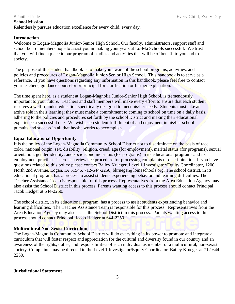### #PantherPride Every Child, Every Day

## **School Mission**

Relentlessly pursues education excellence for every child, every day.

## **Introduction**

Welcome to Logan-Magnolia Junior-Senior High School. Our faculty, administrators, support staff and school board members hope to assist you in making your years at Lo-Ma Schools successful. We trust that you will find a place in our program of studies and activities that will be of benefit to you and to society.

The purpose of this student handbook is to make you aware of the school programs, activities, and policies and procedures of Logan-Magnolia Junior-Senior High School. This handbook is to serve as a reference. If you have questions regarding any information in this handbook, please feel free to contact your teachers, guidance counselor or principal for clarification or further explanation.

The time spent here, as a student at Logan-Magnolia Junior-Senior High School, is tremendously important to your future. Teachers and staff members will make every effort to ensure that each student receives a well-rounded education specifically designed to meet his/her needs. Students must take an active role in their learning; they must make a commitment to coming to school on time on a daily basis, adhering to the policies and procedures set forth by the school District and making their educational experience a successful one. We wish each student fulfillment of and enjoyment in his/her school pursuits and success in all that he/she works to accomplish.

## **Equal Educational Opportunity**

It is the policy of the Logan-Magnolia Community School District not to discriminate on the basis of race, color, national origin, sex, disability, religion, creed, age (for employment), marital status (for programs), sexual orientation, gender identity, and socioeconomic status (for programs) in its educational programs and its employment practices. There is a grievance procedure for processing complaints of discrimination. If you have questions related to this policy please contact Bailey Krueger, Level 1 Investigator/Equity Coordinator, 1200 North 2nd Avenue, Logan, IA 51546, 712-644-2250, bkrueger@lomaschools.org. The school district, in its educational program, has a process to assist students experiencing behavior and learning difficulties. The Teacher Assistance Team is responsible for this process. Representatives from the Area Education Agency may also assist the School District in this process. Parents wanting access to this process should contact Principal, Jacob Hedger at 644-2250.

The school district, in its educational program, has a process to assist students experiencing behavior and learning difficulties. The Teacher Assistance Team is responsible for this process. Representatives from the Area Education Agency may also assist the School District in this process. Parents wanting access to this process should contact Principal, Jacob Hedger at 644-2250.

## **Multicultural Non-Sexist Curriculum**

The Logan-Magnolia Community School District will do everything in its power to promote and integrate a curriculum that will foster respect and appreciation for the cultural and diversity found in our country and an awareness of the rights, duties, and responsibilities of each individual as member of a multicultural, non-sexist society. Complaints may be directed to the Level 1 Investigator/Equity Coordinator, Bailey Krueger at 712-644- 2250.

### **Jurisdictional Statement**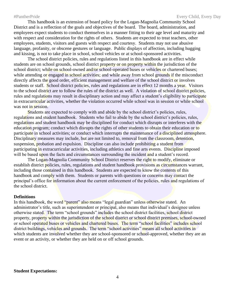This handbook is an extension of board policy for the Logan-Magnolia Community School District and is a reflection of the goals and objectives of the board. The board, administration, and employees expect students to conduct themselves in a manner fitting to their age level and maturity and with respect and consideration for the rights of others. Students are expected to treat teachers, other employees, students, visitors and guests with respect and courtesy. Students may not use abusive language, profanity, or obscene gestures or language. Public displays of affection, including hugging and kissing, is not to take place in school, school vehicles or at school-sponsored activities.

The school district policies, rules and regulations listed in this handbook are in effect while students are on school grounds, school district property or on property within the jurisdiction of the school district; while on school-owned and/or school-operated buses or vehicles or chartered buses; while attending or engaged in school activities; and while away from school grounds if the misconduct directly affects the good order, efficient management and welfare of the school district or involves students or staff. School district policies, rules and regulations are in effect 12 months a year. Visitors to the school district are to follow the rules of the district as well. A violation of school district policies, rules and regulations may result in disciplinary action and may affect a student's eligibility to participate in extracurricular activities, whether the violation occurred while school was in session or while school was not in session.

Students are expected to comply with and abide by the school district's policies, rules, regulations and student handbook. Students who fail to abide by the school district's policies, rules, regulations and student handbook may be disciplined for conduct which disrupts or interferes with the education program; conduct which disrupts the rights of other students to obtain their education or to participate in school activities; or conduct which interrupts the maintenance of a disciplined atmosphere. Disciplinary measures may include, but are not limited to, removal from the classroom, detention, suspension, probation and expulsion. Discipline can also include prohibiting a student from participating in extracurricular activities, including athletics and fine arts events. Discipline imposed will be based upon the facts and circumstances surrounding the incident and a student's record.

The Logan-Magnolia Community School District reserves the right to modify, eliminate or establish district policies, rules, regulations and student handbook provisions as circumstances warrant, including those contained in this handbook. Students are expected to know the contents of this handbook and comply with them. Students or parents with questions or concerns may contact the principal's office for information about the current enforcement of the policies, rules and regulations of the school district.

#### **Definitions**

In this handbook, the word "parent" also means "legal guardian" unless otherwise stated. An administrator's title, such as superintendent or principal, also means that individual's designee unless otherwise stated. The term "school grounds" includes the school district facilities, school district property, property within the jurisdiction of the school district or school district premises, school-owned or school operated buses or vehicles and chartered buses. The term "school facilities" includes school district buildings, vehicles and grounds. The term "school activities" means all school activities in which students are involved whether they are school-sponsored or school-approved, whether they are an event or an activity, or whether they are held on or off school grounds.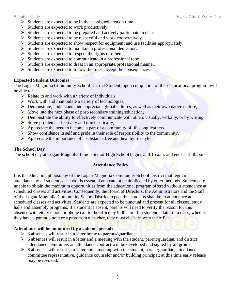- ➢ Students are expected to be in their assigned area on time.
- $\triangleright$  Students are expected to work productively.
- ➢ Students are expected to be prepared and actively participate in class.
- ➢ Students are expected to be respectful and work cooperatively.
- $\triangleright$  Students are expected to show respect for equipment and use facilities appropriately.
- ➢ Students are expected to maintain a professional demeanor.
- ➢ Students are expected to respect the rights of others.
- ➢ Students are expected to communicate in a professional tone.
- Students are expected to dress in an appropriate/professional manner.
- Students are expected to follow the rules, accept the consequences.

## **Expected Student Outcomes**

The Logan-Magnolia Community School District Student, upon completion of their educational program, will be able to:

- $\triangleright$  Relate to and work with a variety of individuals,
- $\triangleright$  Work with and manipulate a variety of technologies,
- $\triangleright$  Demonstrate, understand, and appreciate global cultures, as well as their own native culture,
- ➢ Move into the next phase of post-secondary training/education,
- $\triangleright$  Demonstrate the ability to effectively communicate with others visually, verbally, or by writing,
- $\triangleright$  Solve problems effectively and think critically,
- ➢ Appreciate the need to become a part of a community of life-long learners,
- $\triangleright$  Show confidence in self and pride in their role of responsibility to the community,
- ➢ Appreciate the importance of a substance free and healthy lifestyle.

## **The School Day**

The school day at Logan-Magnolia Junior-Senior High School begins at 8:15 a.m. and ends at 3:30 p.m.

## **Attendance Policy**

It is the education philosophy of the Logan-Magnolia Community School District that regular attendance by all students at school is essential and cannot be duplicated by other methods. Students are unable to obtain the maximum opportunities from the educational program offered without attendance at scheduled classes and activities. Consequently, the Board of Directors, the Administrators and the Staff of the Logan-Magnolia Community School District expect that students shall be in attendance at scheduled classes and activities. Students are expected to be punctual and present for all classes, study halls and assembly programs. If a student is absent, parents will need to verify the reason for this absence with either a note or phone call to the office by 9:00 a.m. If a student is late for a class, whether they have a parent's note or a pass from a teacher, they must check in with the office.

## **Attendance will be monitored by academic period:**

- $\geq$  3 absences will result in a letter home to parents/guardian;
- $\triangleright$  6 absences will result in a letter and a meeting with the student, parent/guardian, and district attendance committee; an attendance contract will be developed and signed by all groups;
- $\triangleright$  8 absences will result in a letter and a meeting with the student, parent/guardian, attendance committee representative, guidance counselor and/or building principal; at this time early release may be revoked;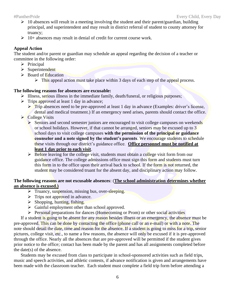- $\geq 10$  absences will result in a meeting involving the student and their parent/guardian, building principal, and superintendent and may result in district referral of student to county attorney for truancy;
- $\geq 10+$  absences may result in denial of credit for current course work.

## **Appeal Action**

The student and/or parent or guardian may schedule an appeal regarding the decision of a teacher or committee in the following order:

- ➢ Principal
- ➢ Superintendent
- ➢ Board of Education
	- $\triangleright$  This appeal action must take place within 3 days of each step of the appeal process.

## **The following reasons for absences are excusable:**

- ➢ Illness, serious illness in the immediate family, death/funeral, or religious purposes;
- ➢ Trips approved at least 1 day in advance;
	- ➢ Trip absences need to be pre-approved at least 1 day in advance (Examples: driver's license, dental and medical treatment.) If an emergency need arises, parents should contact the office.
- ➢ College Visits
	- ➢ Seniors and second semester juniors are encouraged to visit college campuses on weekends or school holidays. However, if that cannot be arranged, seniors may be excused up to 3 school days to visit college campuses **with the permission of the principal or guidance counselor and a note signed by the student's parents**. We encourage students to schedule these visits through our district's guidance office. **Office personnel must be notified at least 1 day prior to each visit**.
	- $\triangleright$  Before leaving for the college visit, students must obtain a college visit form from our guidance office. The college admissions office must sign this form and students must turn this form in to the office upon their arrival back to school. If the form is not returned, the student may be considered truant for the absent day, and disciplinary action may follow.

## **The following reasons are not excusable absences**: (**The school administration determines whether an absence is excused.)**

- ➢ Truancy, suspension, missing bus, over-sleeping.
- $\triangleright$  Trips not approved in advance.
- $\triangleright$  Shopping, hunting, fishing.
- $\triangleright$  Gainful employment other than school approved.
- $\triangleright$  Personal preparations for dances (Homecoming or Prom) or other social activities

If a student is going to be absent for any reason besides illness or an emergency, the absence must be pre-approved. This can be done by contacting the office (phone call or an e-mail) or with a note. The note should detail the date, time and reason for the absence. If a student is going to miss for a trip, senior pictures, college visit, etc., to name a few reasons, the absence will only be excused if it is pre-approved through the office. Nearly all the absences that are pre-approved will be permitted if the student gives prior notice to the office; contact has been made by the parent and has all assignments completed before the date(s) of the absence.

Students may be excused from class to participate in school-sponsored activities such as field trips, music and speech activities, and athletic contests, if advance notification is given and arrangements have been made with the classroom teacher. Each student must complete a field trip form before attending a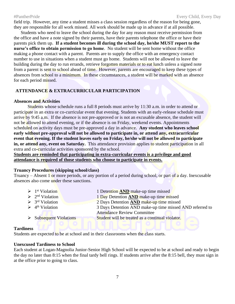field trip. However, any time a student misses a class session regardless of the reason for being gone, they are responsible for all work missed. All work should be made up in advance if at all possible.

Students who need to leave the school during the day for any reason must receive permission from the office and have a note signed by their parents, have their parents telephone the office or have their parents pick them up. **If a student becomes ill during the school day, he/she MUST report to the nurse's office to obtain permission to go home**. No student will be sent home without the office making a phone contact with a parent. Parents are to supply the office with an emergency contact number to use in situations when a student must go home. Students will not be allowed to leave the building during the day to run errands, retrieve forgotten materials or to eat lunch unless a signed note from a parent is sent to school ahead of time. However, parents are encouraged to keep these types of absences from school to a minimum. In these circumstances, a student will be marked with an absence for each period missed.

## **ATTENDANCE & EXTRACURRICULAR PARTICIPATION**

## **Absences and Activities**

Students whose schedule runs a full 8 periods must arrive by 11:30 a.m. in order to attend or participate in an extra or co-curricular event that evening. Students with an early-release schedule must arrive by 9:45 a.m. If the absence is not pre-approved or is not an excusable absence, the student will not be allowed to attend evening, or if the absence is on Friday, weekend events. Appointments scheduled on activity days must be pre-approved a day in advance. **Any student who leaves school early without pre-approval will not be allowed to participate in, or attend any, extracurricular event that evening. If the student leaves early on Friday, he/she will not be allowed to participate in, or attend any, event on Saturday.** This attendance provision applies to student participation in all extra and co-curricular activities sponsored by the school.

**Students are reminded that participating in extra-curricular events is a privilege and good attendance is required of those students who choose to participate in events.**

### **Truancy Procedures (skipping school/class)**

Truancy – Absent 1 or more periods, or any portion of a period during school, or part of a day. Inexcusable absences also come under these sanctions.

| $\triangleright$ 1 <sup>st</sup> Violation | 1 Detention <b>AND</b> make-up time missed               |
|--------------------------------------------|----------------------------------------------------------|
| $\triangleright$ 2 <sup>nd</sup> Violation | 1 Day Detention <b>AND</b> make-up time missed           |
| $\triangleright$ 3 <sup>rd</sup> Violation | 2 Days Detention <b>AND</b> make-up time missed          |
| $\triangleright$ 4 <sup>th</sup> Violation | 3 Days Detention AND make-up time missed AND referred to |
|                                            | <b>Attendance Review Committee</b>                       |
| $\triangleright$ Subsequent Violations     | Student will be treated as a continual violator.         |
|                                            |                                                          |

### **Tardiness**

Students are expected to be at school and in their classrooms when the class starts.

### **Unexcused Tardiness to School**

Each student at Logan-Magnolia Junior-Senior High School will be expected to be at school and ready to begin the day no later than 8:15 when the final tardy bell rings. If students arrive after the 8:15 bell, they must sign in at the office prior to going to class.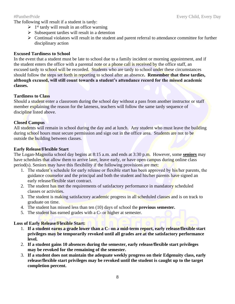The following will result if a student is tardy:

- $\geq 1$ <sup>st</sup> tardy will result in an office warning
- $\triangleright$  Subsequent tardies will result in a detention
- ➢ Continual violators will result in the student and parent referral to attendance committee for further disciplinary action

## **Excused Tardiness to School**

In the event that a student must be late to school due to a family incident or morning appointment, and if the student enters the office with a parental note or a phone call is received by the office staff, an excused tardy to school will be recorded. Students who are tardy to school under these circumstances should follow the steps set forth in reporting to school after an absence**. Remember that these tardies, although excused, will still count towards a student's attendance record for the missed academic classes.**

## **Tardiness to Class**

Should a student enter a classroom during the school day without a pass from another instructor or staff member explaining the reason for the lateness, teachers will follow the same tardy sequence of discipline listed above.

## **Closed Campus**

All students will remain in school during the day and at lunch. Any student who must leave the building during school hours must secure permission and sign out in the office area. Students are not to be outside the building between classes.

## **Early Release/Flexible Start**

The Logan-Magnolia school day begins at 8:15 a.m. and ends at 3:30 p.m. However, some **seniors** may have schedules that allow them to arrive later, leave early, or have open campus during online class period(s). Seniors may have this flexibility if the following provisions are met:

- 1. The student's schedule for early release or flexible start has been approved by his/her parents, the guidance counselor and the principal and both the student and his/her parents have signed an early release/flexible start contract.
- 2. The student has met the requirements of satisfactory performance in mandatory scheduled classes or activities.
- 3. The student is making satisfactory academic progress in all scheduled classes and is on track to graduate on time.
- 4. The student has missed less than ten (10) days of school the **previous semester.**
- 5. The student has earned grades with a C- or higher at semester.

## **Loss of Early Release/Flexible Start:**

- 1. **If a student earns a grade lower than a C- on a mid-term report, early release/flexible start privileges may be temporarily revoked until all grades are at the satisfactory performance level.**
- 2. **If a student gains 10 absences during the semester, early release/flexible start privileges may be revoked for the remaining of the semester.**
- 3. **If a student does not maintain the adequate weekly progress on their Edgenuity class, early release/flexible start privileges may be revoked until the student is caught up to the target completion percent.**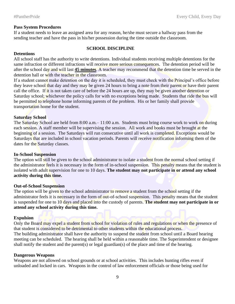### **Pass System Procedures**

If a student needs to leave an assigned area for any reason, he/she must secure a hallway pass from the sending teacher and have the pass in his/her possession during the time outside the classroom.

#### **SCHOOL DISCIPLINE**

### **Detentions**

All school staff has the authority to write detentions. Individual students receiving multiple detentions for the same infraction or different infractions will receive more serious consequences. The detention period will be after the school day and will last **45 minutes**. A teacher may recommend that the detention time be served in the detention hall or with the teacher in the classroom.

If a student cannot make detention on the day it is scheduled, they must check with the Principal's office before they leave school that day and they may be given 24 hours to bring a note from their parent or have their parent call the office. If it is not taken care of before the 24 hours are up, they may be given another detention or Saturday school; whichever the policy calls for with no exceptions being made. Students that ride the bus will be permitted to telephone home informing parents of the problem. His or her family shall provide transportation home for the student.

## **Saturday School**

The Saturday School are held from 8:00 a.m. – 11:00 a.m. Students must bring course work to work on during each session. A staff member will be supervising the session. All work and books must be brought at the beginning of a session. The Saturdays will run consecutive until all work is completed. Exceptions would be Saturdays that are included in school vacation periods. Parents will receive notification informing them of the dates for the Saturday classes.

### **In-School Suspension**

The option will still be given to the school administrator to isolate a student from the normal school setting if the administrator feels it is necessary in the form of in-school suspension. This penalty means that the student is isolated with adult supervision for one to 10 days. **The student may not participate in or attend any school activity during this time.**

#### **Out-of-School Suspension**

The option will be given to the school administrator to remove a student from the school setting if the administrator feels it is necessary in the form of out-of-school suspension. This penalty means that the student is suspended for one to 10 days and placed into the custody of parents. **The student may not participate in or attend any school activity during this time.**

#### **Expulsion**

Only the Board may expel a student from school for violation of rules and regulations or when the presence of that student is considered to be detrimental to other students within the educational process. The building administrator shall have the authority to suspend the student from school until a Board hearing

meeting can be scheduled. The hearing shall be held within a reasonable time. The Superintendent or designee shall notify the student and the parent(s) or legal guardian(s) of the place and time of the hearing.

### **Dangerous Weapons**

Weapons are not allowed on school grounds or at school activities. This includes hunting rifles even if unloaded and locked in cars. Weapons in the control of law enforcement officials or those being used for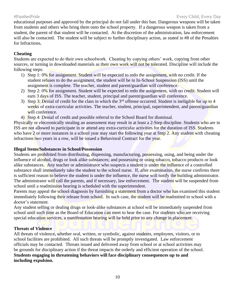educational purposes and approved by the principal do not fall under this ban. Dangerous weapons will be taken from students and others who bring them onto the school property. If a dangerous weapon is taken from a student, the parent of that student will be contacted. At the discretion of the administration, law enforcement will also be contacted. The student will be subject to further disciplinary action, as stated in #8 of the Penalties for Infractions**.** 

## **Cheating**

Students are expected to do their own schoolwork. Cheating by copying others' work, copying from other sources, or turning in downloaded materials as their own work will not be tolerated. Discipline will include the following steps:

- 1) Step 1: 0% for assignment. Student will be expected to redo the assignment, with no credit. If the student refuses to do the assignment, the student will be in In-School Suspension (ISS) until the assignment is complete. The teacher, student and parent/guardian will conference.
- 2) Step 2: 0% for assignment. Student will be expected to redo the assignment, with no credit. Student will earn 3 days of ISS. The teacher, student, principal and parent/guardian will conference.
- 3) Step 3: Denial of credit for the class in which the  $3<sup>rd</sup>$  offense occurred. Student is ineligible for up to 4 weeks of extra-curricular activities. The teacher, student, principal, superintendent, and parent/guardian will conference.
- 4) Step 4: Denial of credit and possible referral to the School Board for dismissal.

Physically or electronically stealing an assessment may result in at least a 2-Step discipline. Students who are in ISS are not allowed to participate in or attend any extra-curricular activities for the duration of ISS. Students who have 2 or more instances in a school year may start the following year at Step 2. Any student with cheating infractions two years in a row, will be issued a Behavioral Contract for the year.

## **Illegal Items/Substances in School/Possession**

Students are prohibited from distributing, dispensing, manufacturing, possessing, using, and being under the influence of alcohol, drugs or look alike substances; and possessing or using tobacco, tobacco products or look alike substances. Any teacher or administrator who suspects a student is under the influence of a controlled substance shall immediately take the student to the school nurse. If, after examination, the nurse confirms there is sufficient reason to believe the student is under the influence, the nurse will notify the building administrator. The administrator will call the parents, and if necessary, law enforcement. The student will be suspended from school until a readmission hearing is scheduled with the superintendent.

Parents may appeal the school diagnosis by furnishing a statement from a doctor who has examined this student immediately following their release from school. In such case, the student will be readmitted to school with a doctor's statement.

Any student selling or dealing drugs or look-alike substances at school will be immediately suspended from school until such time as the Board of Education can meet to hear the case. For students who are receiving special education services, a manifestation hearing will be held prior to any change in placement.

## **Threats of Violence**

All threats of violence, whether oral, written, or symbolic, against students, employees, visitors, or to school facilities are prohibited. All such threats will be promptly investigated. Law enforcement officials may be contacted. Threats issued and delivered away from school or at school activities may be grounds for disciplinary action if the threat impacts the orderly and efficient operation of the school. **Students engaging in threatening behaviors will face disciplinary consequences up to and including expulsion.**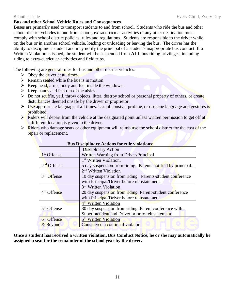### **Bus and other School Vehicle Rules and Consequences**

Buses are primarily used to transport students to and from school. Students who ride the bus and other school district vehicles to and from school, extracurricular activities or any other destination must comply with school district policies, rules and regulations. Students are responsible to the driver while on the bus or in another school vehicle, loading or unloading or leaving the bus. The driver has the ability to discipline a student and may notify the principal of a student's inappropriate bus conduct. If a Written Violation is issued, the student will be suspended from **ALL** bus riding privileges, including riding to extra-curricular activities and field trips.

The following are general rules for bus and other district vehicles:

- $\triangleright$  Obey the driver at all times.
- $\triangleright$  Remain seated while the bus is in motion.
- $\triangleright$  Keep head, arms, body and feet inside the windows.
- $\triangleright$  Keep hands and feet out of the aisles.
- ➢ Do not scuffle, yell, throw objects, litter, destroy school or personal property of others, or create disturbances deemed unsafe by the driver or proprietor.
- $\triangleright$  Use appropriate language at all times. Use of abusive, profane, or obscene language and gestures is prohibited.
- ➢ Riders will depart from the vehicle at the designated point unless written permission to get off at a different location is given to the driver.
- $\triangleright$  Riders who damage seats or other equipment will reimburse the school district for the cost of the repair or replacement.

|                                                                                         | <b>Disciplinary Action</b>                        |  |  |
|-----------------------------------------------------------------------------------------|---------------------------------------------------|--|--|
| 1 <sup>st</sup> Offense                                                                 | Written Warning from Driver/Principal             |  |  |
| 1 <sup>st</sup> Written Violation.                                                      |                                                   |  |  |
| 2 <sup>nd</sup> Offense<br>5 day suspension from riding. Parents notified by principal. |                                                   |  |  |
| 2 <sup>nd</sup> Written Violation                                                       |                                                   |  |  |
| 3rd Offense<br>10 day suspension from riding. Parents-student conference                |                                                   |  |  |
|                                                                                         | with Principal/Driver before reinstatement.       |  |  |
|                                                                                         | 3 <sup>rd</sup> Written Violation                 |  |  |
| 4 <sup>th</sup> Offense<br>20 day suspension from riding. Parent-student conference     |                                                   |  |  |
|                                                                                         | with Principal/Driver before reinstatement.       |  |  |
|                                                                                         | 4 <sup>th</sup> Written Violation                 |  |  |
| 5 <sup>th</sup> Offense<br>30 day suspension from riding. Parent conference with        |                                                   |  |  |
|                                                                                         | Superintendent and Driver prior to reinstatement. |  |  |
| 6 <sup>th</sup> Offense                                                                 | 5 <sup>th</sup> Written Violation                 |  |  |
| & Beyond                                                                                | Considered a continual violator                   |  |  |

### **Bus Disciplinary Actions for rule violations:**

**Once a student has received a written violation, Bus Conduct Notice, he or she may automatically be assigned a seat for the remainder of the school year by the driver.**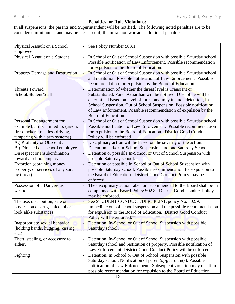## **Penalties for Rule Violations:**

In all suspensions, the parents and Superintendent will be notified. The following noted penalties are to be considered minimums, and may be increased if, the infraction warrants additional penalties.

| Physical Assault on a School           | See Policy Number 503.1                                               |
|----------------------------------------|-----------------------------------------------------------------------|
| employee                               |                                                                       |
| Physical Assault on a Student          | In School or Out of School Suspension with possible Saturday school.  |
|                                        | Possible notification of Law Enforcement. Possible recommendation     |
|                                        | for expulsion to the Board of Education.                              |
| <b>Property Damage and Destruction</b> | In School or Out of School Suspension with possible Saturday school   |
|                                        | and restitution. Possible notification of Law Enforcement. Possible   |
|                                        | recommendation for expulsion by the Board of Education.               |
| <b>Threats Toward</b>                  | Determination of whether the threat level is Transient or             |
| School/Student/Staff                   | Substantiated. Parent/Guardian will be notified. Discipline will be   |
|                                        | determined based on level of threat and may include detention, In-    |
|                                        | School Suspension, Out of School Suspension; Possible notification    |
|                                        | of Law Enforcement. Possible recommendation of expulsion by the       |
|                                        | Board of Education.                                                   |
| Personal Endangerment for              | In School or Out of School Suspension with possible Saturday school.  |
| example but not limited to: (arson,    | Possible notification of Law Enforcement. Possible recommendation     |
| fire-crackers, reckless driving,       | for expulsion to the Board of Education. District Good Conduct        |
| tampering with alarm systems)          | Policy will be enforced                                               |
| A.) Profanity or Obscenity             | Disciplinary action will be based on the severity of the action.      |
| B.) Directed at a school employee      | Detention and/or In-School Suspension and one Saturday School.        |
| Disrespect or Insubordination          | Detention or possible In-School or Out of School Suspension with      |
| toward a school employee               | possible Saturday school.                                             |
| Extortion (obtaining money,            | Detention or possible In School or Out of School Suspension with      |
| property, or services of any sort      | possible Saturday school. Possible recommendation for expulsion to    |
| by threat)                             | the Board of Education. District Good Conduct Policy may be           |
|                                        | enforced.                                                             |
| Possession of a Dangerous              | The disciplinary action taken or recommended to the Board shall be in |
| weapon                                 | compliance with Board Policy 502.8. District Good Conduct Policy      |
|                                        | may be enforced.                                                      |
| The use, distribution, sale or         | See STUDENT CONDUCT/DISCIPLINE policy No. 502.9.                      |
| possession of drugs, alcohol or        | Immediate out-of-school suspension and the possible recommendation    |
| look alike substances                  | for expulsion to the Board of Education. District Good Conduct        |
|                                        | Policy will be enforced.                                              |
| Inappropriate sexual behavior          | Detention, In-School or Out of School Suspension with possible        |
| (holding hands, hugging, kissing,      | Saturday school.                                                      |
| $etc.$ )                               |                                                                       |
| Theft, stealing, or accessory to       | Detention, In-School or Out of School Suspension with possible        |
| either.                                | Saturday school and restitution of property. Possible notification of |
|                                        | Law Enforcement. District Good Conduct Policy will be enforced.       |
| Fighting                               | Detention, In School or Out of School Suspension with possible        |
|                                        | Saturday school. Notification of parent(s)/guardian(s). Possible      |
|                                        |                                                                       |
|                                        | notification of Law Enforcement. Subsequent violation may result in   |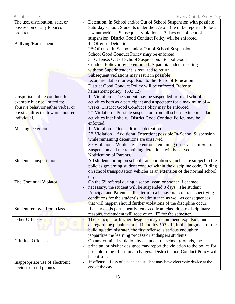| possession of any tobacco<br>Saturday school. Students under the age of 18 will be reported to local<br>law authorities. Subsequent violations - 3 days out-of-school<br>product.<br>suspension. District Good Conduct Policy will be enforced.<br>1 <sup>st</sup> Offense: Detention;<br>Bullying/Harassment<br>2 <sup>nd</sup> Offense: In School and/or Out of School Suspension.<br>School Good Conduct Policy may be enforced.<br>3rd Offense: Out of School Suspension. School Good<br>Conduct Policy may be enforced. A parent/student meeting<br>with the Superintendent is required to return.<br>Subsequent violations may result in possible<br>recommendation for expulsion to the Board of Education<br>District Good Conduct Policy will be enforced. Refer to<br>harassment policy. (502.12)<br>Unsportsmanlike conduct, for<br>1st Violation - The student may be suspended from all school<br>example but not limited to:<br>activities both as a participant and a spectator for a maximum of 4<br>abusive behavior either verbal or<br>weeks. District Good Conduct Policy may be enforced.<br>2 <sup>nd</sup> Violation – Possible suspension from all school extracurricular<br>physical directed toward another<br>individual.<br>activities indefinitely. District Good Conduct Policy may be<br>enforced.<br>$1st$ Violation – One additional detention.<br><b>Missing Detention</b><br>2 <sup>nd</sup> Violation – Additional Detention; possible In-School Suspension<br>while remaining detentions are unserved.<br>$3rd$ Violation – While any detentions remaining unserved – In-School<br>Suspension and the remaining detentions will be served.<br>Notification of Parents.<br>All students riding on school transportation vehicles are subject to the<br><b>Student Transportation</b><br>policies governing student conduct within the discipline code. Riding<br>on school transportation vehicles is an extension of the normal school<br>day.<br>On the 5 <sup>th</sup> referral during a school year, or sooner if deemed<br>The Continual Violator<br>necessary, the student will be suspended 3 days. The student,<br>Principal and Parent shall enter into a behavioral contract specifying<br>conditions for the student's re-admittance as well as consequences<br>that will happen should further violations of the discipline occur.<br>Student removal from class<br>If a student is permanently removed from class due to disciplinary<br>reasons, the student will receive an "F" for the semester.<br><b>Other Offenses</b><br>The principal or his/her designee may recommend expulsion and<br>disregard the penalties noted in policy 503.2 if, in the judgment of the<br>building administrator, the first offense is serious enough to<br>jeopardize the learning process or endangers students.<br><b>Criminal Offenses</b><br>On any criminal violation by a student on school grounds, the<br>principal or his/her designee may report the violation to the police for<br>possible filing of criminal charges. District Good Conduct Policy will<br>be enforced<br>$1st$ offense – Loss of device and student may have electronic device at the<br>Inappropriate use of electronic | The use, distribution, sale, or | Detention, In School and/or Out of School Suspension with possible |
|---------------------------------------------------------------------------------------------------------------------------------------------------------------------------------------------------------------------------------------------------------------------------------------------------------------------------------------------------------------------------------------------------------------------------------------------------------------------------------------------------------------------------------------------------------------------------------------------------------------------------------------------------------------------------------------------------------------------------------------------------------------------------------------------------------------------------------------------------------------------------------------------------------------------------------------------------------------------------------------------------------------------------------------------------------------------------------------------------------------------------------------------------------------------------------------------------------------------------------------------------------------------------------------------------------------------------------------------------------------------------------------------------------------------------------------------------------------------------------------------------------------------------------------------------------------------------------------------------------------------------------------------------------------------------------------------------------------------------------------------------------------------------------------------------------------------------------------------------------------------------------------------------------------------------------------------------------------------------------------------------------------------------------------------------------------------------------------------------------------------------------------------------------------------------------------------------------------------------------------------------------------------------------------------------------------------------------------------------------------------------------------------------------------------------------------------------------------------------------------------------------------------------------------------------------------------------------------------------------------------------------------------------------------------------------------------------------------------------------------------------------------------------------------------------------------------------------------------------------------------------------------------------------------------------------------------------------------------------------------------------------------------------------------------------------------------------------------------------------------------------------------------------------------------------------------------------------------------------------------------|---------------------------------|--------------------------------------------------------------------|
|                                                                                                                                                                                                                                                                                                                                                                                                                                                                                                                                                                                                                                                                                                                                                                                                                                                                                                                                                                                                                                                                                                                                                                                                                                                                                                                                                                                                                                                                                                                                                                                                                                                                                                                                                                                                                                                                                                                                                                                                                                                                                                                                                                                                                                                                                                                                                                                                                                                                                                                                                                                                                                                                                                                                                                                                                                                                                                                                                                                                                                                                                                                                                                                                                                             |                                 |                                                                    |
|                                                                                                                                                                                                                                                                                                                                                                                                                                                                                                                                                                                                                                                                                                                                                                                                                                                                                                                                                                                                                                                                                                                                                                                                                                                                                                                                                                                                                                                                                                                                                                                                                                                                                                                                                                                                                                                                                                                                                                                                                                                                                                                                                                                                                                                                                                                                                                                                                                                                                                                                                                                                                                                                                                                                                                                                                                                                                                                                                                                                                                                                                                                                                                                                                                             |                                 |                                                                    |
|                                                                                                                                                                                                                                                                                                                                                                                                                                                                                                                                                                                                                                                                                                                                                                                                                                                                                                                                                                                                                                                                                                                                                                                                                                                                                                                                                                                                                                                                                                                                                                                                                                                                                                                                                                                                                                                                                                                                                                                                                                                                                                                                                                                                                                                                                                                                                                                                                                                                                                                                                                                                                                                                                                                                                                                                                                                                                                                                                                                                                                                                                                                                                                                                                                             |                                 |                                                                    |
|                                                                                                                                                                                                                                                                                                                                                                                                                                                                                                                                                                                                                                                                                                                                                                                                                                                                                                                                                                                                                                                                                                                                                                                                                                                                                                                                                                                                                                                                                                                                                                                                                                                                                                                                                                                                                                                                                                                                                                                                                                                                                                                                                                                                                                                                                                                                                                                                                                                                                                                                                                                                                                                                                                                                                                                                                                                                                                                                                                                                                                                                                                                                                                                                                                             |                                 |                                                                    |
|                                                                                                                                                                                                                                                                                                                                                                                                                                                                                                                                                                                                                                                                                                                                                                                                                                                                                                                                                                                                                                                                                                                                                                                                                                                                                                                                                                                                                                                                                                                                                                                                                                                                                                                                                                                                                                                                                                                                                                                                                                                                                                                                                                                                                                                                                                                                                                                                                                                                                                                                                                                                                                                                                                                                                                                                                                                                                                                                                                                                                                                                                                                                                                                                                                             |                                 |                                                                    |
|                                                                                                                                                                                                                                                                                                                                                                                                                                                                                                                                                                                                                                                                                                                                                                                                                                                                                                                                                                                                                                                                                                                                                                                                                                                                                                                                                                                                                                                                                                                                                                                                                                                                                                                                                                                                                                                                                                                                                                                                                                                                                                                                                                                                                                                                                                                                                                                                                                                                                                                                                                                                                                                                                                                                                                                                                                                                                                                                                                                                                                                                                                                                                                                                                                             |                                 |                                                                    |
|                                                                                                                                                                                                                                                                                                                                                                                                                                                                                                                                                                                                                                                                                                                                                                                                                                                                                                                                                                                                                                                                                                                                                                                                                                                                                                                                                                                                                                                                                                                                                                                                                                                                                                                                                                                                                                                                                                                                                                                                                                                                                                                                                                                                                                                                                                                                                                                                                                                                                                                                                                                                                                                                                                                                                                                                                                                                                                                                                                                                                                                                                                                                                                                                                                             |                                 |                                                                    |
|                                                                                                                                                                                                                                                                                                                                                                                                                                                                                                                                                                                                                                                                                                                                                                                                                                                                                                                                                                                                                                                                                                                                                                                                                                                                                                                                                                                                                                                                                                                                                                                                                                                                                                                                                                                                                                                                                                                                                                                                                                                                                                                                                                                                                                                                                                                                                                                                                                                                                                                                                                                                                                                                                                                                                                                                                                                                                                                                                                                                                                                                                                                                                                                                                                             |                                 |                                                                    |
|                                                                                                                                                                                                                                                                                                                                                                                                                                                                                                                                                                                                                                                                                                                                                                                                                                                                                                                                                                                                                                                                                                                                                                                                                                                                                                                                                                                                                                                                                                                                                                                                                                                                                                                                                                                                                                                                                                                                                                                                                                                                                                                                                                                                                                                                                                                                                                                                                                                                                                                                                                                                                                                                                                                                                                                                                                                                                                                                                                                                                                                                                                                                                                                                                                             |                                 |                                                                    |
|                                                                                                                                                                                                                                                                                                                                                                                                                                                                                                                                                                                                                                                                                                                                                                                                                                                                                                                                                                                                                                                                                                                                                                                                                                                                                                                                                                                                                                                                                                                                                                                                                                                                                                                                                                                                                                                                                                                                                                                                                                                                                                                                                                                                                                                                                                                                                                                                                                                                                                                                                                                                                                                                                                                                                                                                                                                                                                                                                                                                                                                                                                                                                                                                                                             |                                 |                                                                    |
|                                                                                                                                                                                                                                                                                                                                                                                                                                                                                                                                                                                                                                                                                                                                                                                                                                                                                                                                                                                                                                                                                                                                                                                                                                                                                                                                                                                                                                                                                                                                                                                                                                                                                                                                                                                                                                                                                                                                                                                                                                                                                                                                                                                                                                                                                                                                                                                                                                                                                                                                                                                                                                                                                                                                                                                                                                                                                                                                                                                                                                                                                                                                                                                                                                             |                                 |                                                                    |
|                                                                                                                                                                                                                                                                                                                                                                                                                                                                                                                                                                                                                                                                                                                                                                                                                                                                                                                                                                                                                                                                                                                                                                                                                                                                                                                                                                                                                                                                                                                                                                                                                                                                                                                                                                                                                                                                                                                                                                                                                                                                                                                                                                                                                                                                                                                                                                                                                                                                                                                                                                                                                                                                                                                                                                                                                                                                                                                                                                                                                                                                                                                                                                                                                                             |                                 |                                                                    |
|                                                                                                                                                                                                                                                                                                                                                                                                                                                                                                                                                                                                                                                                                                                                                                                                                                                                                                                                                                                                                                                                                                                                                                                                                                                                                                                                                                                                                                                                                                                                                                                                                                                                                                                                                                                                                                                                                                                                                                                                                                                                                                                                                                                                                                                                                                                                                                                                                                                                                                                                                                                                                                                                                                                                                                                                                                                                                                                                                                                                                                                                                                                                                                                                                                             |                                 |                                                                    |
|                                                                                                                                                                                                                                                                                                                                                                                                                                                                                                                                                                                                                                                                                                                                                                                                                                                                                                                                                                                                                                                                                                                                                                                                                                                                                                                                                                                                                                                                                                                                                                                                                                                                                                                                                                                                                                                                                                                                                                                                                                                                                                                                                                                                                                                                                                                                                                                                                                                                                                                                                                                                                                                                                                                                                                                                                                                                                                                                                                                                                                                                                                                                                                                                                                             |                                 |                                                                    |
|                                                                                                                                                                                                                                                                                                                                                                                                                                                                                                                                                                                                                                                                                                                                                                                                                                                                                                                                                                                                                                                                                                                                                                                                                                                                                                                                                                                                                                                                                                                                                                                                                                                                                                                                                                                                                                                                                                                                                                                                                                                                                                                                                                                                                                                                                                                                                                                                                                                                                                                                                                                                                                                                                                                                                                                                                                                                                                                                                                                                                                                                                                                                                                                                                                             |                                 |                                                                    |
|                                                                                                                                                                                                                                                                                                                                                                                                                                                                                                                                                                                                                                                                                                                                                                                                                                                                                                                                                                                                                                                                                                                                                                                                                                                                                                                                                                                                                                                                                                                                                                                                                                                                                                                                                                                                                                                                                                                                                                                                                                                                                                                                                                                                                                                                                                                                                                                                                                                                                                                                                                                                                                                                                                                                                                                                                                                                                                                                                                                                                                                                                                                                                                                                                                             |                                 |                                                                    |
|                                                                                                                                                                                                                                                                                                                                                                                                                                                                                                                                                                                                                                                                                                                                                                                                                                                                                                                                                                                                                                                                                                                                                                                                                                                                                                                                                                                                                                                                                                                                                                                                                                                                                                                                                                                                                                                                                                                                                                                                                                                                                                                                                                                                                                                                                                                                                                                                                                                                                                                                                                                                                                                                                                                                                                                                                                                                                                                                                                                                                                                                                                                                                                                                                                             |                                 |                                                                    |
|                                                                                                                                                                                                                                                                                                                                                                                                                                                                                                                                                                                                                                                                                                                                                                                                                                                                                                                                                                                                                                                                                                                                                                                                                                                                                                                                                                                                                                                                                                                                                                                                                                                                                                                                                                                                                                                                                                                                                                                                                                                                                                                                                                                                                                                                                                                                                                                                                                                                                                                                                                                                                                                                                                                                                                                                                                                                                                                                                                                                                                                                                                                                                                                                                                             |                                 |                                                                    |
|                                                                                                                                                                                                                                                                                                                                                                                                                                                                                                                                                                                                                                                                                                                                                                                                                                                                                                                                                                                                                                                                                                                                                                                                                                                                                                                                                                                                                                                                                                                                                                                                                                                                                                                                                                                                                                                                                                                                                                                                                                                                                                                                                                                                                                                                                                                                                                                                                                                                                                                                                                                                                                                                                                                                                                                                                                                                                                                                                                                                                                                                                                                                                                                                                                             |                                 |                                                                    |
|                                                                                                                                                                                                                                                                                                                                                                                                                                                                                                                                                                                                                                                                                                                                                                                                                                                                                                                                                                                                                                                                                                                                                                                                                                                                                                                                                                                                                                                                                                                                                                                                                                                                                                                                                                                                                                                                                                                                                                                                                                                                                                                                                                                                                                                                                                                                                                                                                                                                                                                                                                                                                                                                                                                                                                                                                                                                                                                                                                                                                                                                                                                                                                                                                                             |                                 |                                                                    |
|                                                                                                                                                                                                                                                                                                                                                                                                                                                                                                                                                                                                                                                                                                                                                                                                                                                                                                                                                                                                                                                                                                                                                                                                                                                                                                                                                                                                                                                                                                                                                                                                                                                                                                                                                                                                                                                                                                                                                                                                                                                                                                                                                                                                                                                                                                                                                                                                                                                                                                                                                                                                                                                                                                                                                                                                                                                                                                                                                                                                                                                                                                                                                                                                                                             |                                 |                                                                    |
|                                                                                                                                                                                                                                                                                                                                                                                                                                                                                                                                                                                                                                                                                                                                                                                                                                                                                                                                                                                                                                                                                                                                                                                                                                                                                                                                                                                                                                                                                                                                                                                                                                                                                                                                                                                                                                                                                                                                                                                                                                                                                                                                                                                                                                                                                                                                                                                                                                                                                                                                                                                                                                                                                                                                                                                                                                                                                                                                                                                                                                                                                                                                                                                                                                             |                                 |                                                                    |
|                                                                                                                                                                                                                                                                                                                                                                                                                                                                                                                                                                                                                                                                                                                                                                                                                                                                                                                                                                                                                                                                                                                                                                                                                                                                                                                                                                                                                                                                                                                                                                                                                                                                                                                                                                                                                                                                                                                                                                                                                                                                                                                                                                                                                                                                                                                                                                                                                                                                                                                                                                                                                                                                                                                                                                                                                                                                                                                                                                                                                                                                                                                                                                                                                                             |                                 |                                                                    |
|                                                                                                                                                                                                                                                                                                                                                                                                                                                                                                                                                                                                                                                                                                                                                                                                                                                                                                                                                                                                                                                                                                                                                                                                                                                                                                                                                                                                                                                                                                                                                                                                                                                                                                                                                                                                                                                                                                                                                                                                                                                                                                                                                                                                                                                                                                                                                                                                                                                                                                                                                                                                                                                                                                                                                                                                                                                                                                                                                                                                                                                                                                                                                                                                                                             |                                 |                                                                    |
|                                                                                                                                                                                                                                                                                                                                                                                                                                                                                                                                                                                                                                                                                                                                                                                                                                                                                                                                                                                                                                                                                                                                                                                                                                                                                                                                                                                                                                                                                                                                                                                                                                                                                                                                                                                                                                                                                                                                                                                                                                                                                                                                                                                                                                                                                                                                                                                                                                                                                                                                                                                                                                                                                                                                                                                                                                                                                                                                                                                                                                                                                                                                                                                                                                             |                                 |                                                                    |
|                                                                                                                                                                                                                                                                                                                                                                                                                                                                                                                                                                                                                                                                                                                                                                                                                                                                                                                                                                                                                                                                                                                                                                                                                                                                                                                                                                                                                                                                                                                                                                                                                                                                                                                                                                                                                                                                                                                                                                                                                                                                                                                                                                                                                                                                                                                                                                                                                                                                                                                                                                                                                                                                                                                                                                                                                                                                                                                                                                                                                                                                                                                                                                                                                                             |                                 |                                                                    |
|                                                                                                                                                                                                                                                                                                                                                                                                                                                                                                                                                                                                                                                                                                                                                                                                                                                                                                                                                                                                                                                                                                                                                                                                                                                                                                                                                                                                                                                                                                                                                                                                                                                                                                                                                                                                                                                                                                                                                                                                                                                                                                                                                                                                                                                                                                                                                                                                                                                                                                                                                                                                                                                                                                                                                                                                                                                                                                                                                                                                                                                                                                                                                                                                                                             |                                 |                                                                    |
|                                                                                                                                                                                                                                                                                                                                                                                                                                                                                                                                                                                                                                                                                                                                                                                                                                                                                                                                                                                                                                                                                                                                                                                                                                                                                                                                                                                                                                                                                                                                                                                                                                                                                                                                                                                                                                                                                                                                                                                                                                                                                                                                                                                                                                                                                                                                                                                                                                                                                                                                                                                                                                                                                                                                                                                                                                                                                                                                                                                                                                                                                                                                                                                                                                             |                                 |                                                                    |
|                                                                                                                                                                                                                                                                                                                                                                                                                                                                                                                                                                                                                                                                                                                                                                                                                                                                                                                                                                                                                                                                                                                                                                                                                                                                                                                                                                                                                                                                                                                                                                                                                                                                                                                                                                                                                                                                                                                                                                                                                                                                                                                                                                                                                                                                                                                                                                                                                                                                                                                                                                                                                                                                                                                                                                                                                                                                                                                                                                                                                                                                                                                                                                                                                                             |                                 |                                                                    |
|                                                                                                                                                                                                                                                                                                                                                                                                                                                                                                                                                                                                                                                                                                                                                                                                                                                                                                                                                                                                                                                                                                                                                                                                                                                                                                                                                                                                                                                                                                                                                                                                                                                                                                                                                                                                                                                                                                                                                                                                                                                                                                                                                                                                                                                                                                                                                                                                                                                                                                                                                                                                                                                                                                                                                                                                                                                                                                                                                                                                                                                                                                                                                                                                                                             |                                 |                                                                    |
|                                                                                                                                                                                                                                                                                                                                                                                                                                                                                                                                                                                                                                                                                                                                                                                                                                                                                                                                                                                                                                                                                                                                                                                                                                                                                                                                                                                                                                                                                                                                                                                                                                                                                                                                                                                                                                                                                                                                                                                                                                                                                                                                                                                                                                                                                                                                                                                                                                                                                                                                                                                                                                                                                                                                                                                                                                                                                                                                                                                                                                                                                                                                                                                                                                             |                                 |                                                                    |
|                                                                                                                                                                                                                                                                                                                                                                                                                                                                                                                                                                                                                                                                                                                                                                                                                                                                                                                                                                                                                                                                                                                                                                                                                                                                                                                                                                                                                                                                                                                                                                                                                                                                                                                                                                                                                                                                                                                                                                                                                                                                                                                                                                                                                                                                                                                                                                                                                                                                                                                                                                                                                                                                                                                                                                                                                                                                                                                                                                                                                                                                                                                                                                                                                                             |                                 |                                                                    |
|                                                                                                                                                                                                                                                                                                                                                                                                                                                                                                                                                                                                                                                                                                                                                                                                                                                                                                                                                                                                                                                                                                                                                                                                                                                                                                                                                                                                                                                                                                                                                                                                                                                                                                                                                                                                                                                                                                                                                                                                                                                                                                                                                                                                                                                                                                                                                                                                                                                                                                                                                                                                                                                                                                                                                                                                                                                                                                                                                                                                                                                                                                                                                                                                                                             |                                 |                                                                    |
|                                                                                                                                                                                                                                                                                                                                                                                                                                                                                                                                                                                                                                                                                                                                                                                                                                                                                                                                                                                                                                                                                                                                                                                                                                                                                                                                                                                                                                                                                                                                                                                                                                                                                                                                                                                                                                                                                                                                                                                                                                                                                                                                                                                                                                                                                                                                                                                                                                                                                                                                                                                                                                                                                                                                                                                                                                                                                                                                                                                                                                                                                                                                                                                                                                             |                                 |                                                                    |
|                                                                                                                                                                                                                                                                                                                                                                                                                                                                                                                                                                                                                                                                                                                                                                                                                                                                                                                                                                                                                                                                                                                                                                                                                                                                                                                                                                                                                                                                                                                                                                                                                                                                                                                                                                                                                                                                                                                                                                                                                                                                                                                                                                                                                                                                                                                                                                                                                                                                                                                                                                                                                                                                                                                                                                                                                                                                                                                                                                                                                                                                                                                                                                                                                                             |                                 |                                                                    |
|                                                                                                                                                                                                                                                                                                                                                                                                                                                                                                                                                                                                                                                                                                                                                                                                                                                                                                                                                                                                                                                                                                                                                                                                                                                                                                                                                                                                                                                                                                                                                                                                                                                                                                                                                                                                                                                                                                                                                                                                                                                                                                                                                                                                                                                                                                                                                                                                                                                                                                                                                                                                                                                                                                                                                                                                                                                                                                                                                                                                                                                                                                                                                                                                                                             |                                 |                                                                    |
|                                                                                                                                                                                                                                                                                                                                                                                                                                                                                                                                                                                                                                                                                                                                                                                                                                                                                                                                                                                                                                                                                                                                                                                                                                                                                                                                                                                                                                                                                                                                                                                                                                                                                                                                                                                                                                                                                                                                                                                                                                                                                                                                                                                                                                                                                                                                                                                                                                                                                                                                                                                                                                                                                                                                                                                                                                                                                                                                                                                                                                                                                                                                                                                                                                             |                                 |                                                                    |
|                                                                                                                                                                                                                                                                                                                                                                                                                                                                                                                                                                                                                                                                                                                                                                                                                                                                                                                                                                                                                                                                                                                                                                                                                                                                                                                                                                                                                                                                                                                                                                                                                                                                                                                                                                                                                                                                                                                                                                                                                                                                                                                                                                                                                                                                                                                                                                                                                                                                                                                                                                                                                                                                                                                                                                                                                                                                                                                                                                                                                                                                                                                                                                                                                                             |                                 |                                                                    |
|                                                                                                                                                                                                                                                                                                                                                                                                                                                                                                                                                                                                                                                                                                                                                                                                                                                                                                                                                                                                                                                                                                                                                                                                                                                                                                                                                                                                                                                                                                                                                                                                                                                                                                                                                                                                                                                                                                                                                                                                                                                                                                                                                                                                                                                                                                                                                                                                                                                                                                                                                                                                                                                                                                                                                                                                                                                                                                                                                                                                                                                                                                                                                                                                                                             |                                 |                                                                    |
|                                                                                                                                                                                                                                                                                                                                                                                                                                                                                                                                                                                                                                                                                                                                                                                                                                                                                                                                                                                                                                                                                                                                                                                                                                                                                                                                                                                                                                                                                                                                                                                                                                                                                                                                                                                                                                                                                                                                                                                                                                                                                                                                                                                                                                                                                                                                                                                                                                                                                                                                                                                                                                                                                                                                                                                                                                                                                                                                                                                                                                                                                                                                                                                                                                             |                                 |                                                                    |
|                                                                                                                                                                                                                                                                                                                                                                                                                                                                                                                                                                                                                                                                                                                                                                                                                                                                                                                                                                                                                                                                                                                                                                                                                                                                                                                                                                                                                                                                                                                                                                                                                                                                                                                                                                                                                                                                                                                                                                                                                                                                                                                                                                                                                                                                                                                                                                                                                                                                                                                                                                                                                                                                                                                                                                                                                                                                                                                                                                                                                                                                                                                                                                                                                                             |                                 |                                                                    |
|                                                                                                                                                                                                                                                                                                                                                                                                                                                                                                                                                                                                                                                                                                                                                                                                                                                                                                                                                                                                                                                                                                                                                                                                                                                                                                                                                                                                                                                                                                                                                                                                                                                                                                                                                                                                                                                                                                                                                                                                                                                                                                                                                                                                                                                                                                                                                                                                                                                                                                                                                                                                                                                                                                                                                                                                                                                                                                                                                                                                                                                                                                                                                                                                                                             |                                 |                                                                    |
|                                                                                                                                                                                                                                                                                                                                                                                                                                                                                                                                                                                                                                                                                                                                                                                                                                                                                                                                                                                                                                                                                                                                                                                                                                                                                                                                                                                                                                                                                                                                                                                                                                                                                                                                                                                                                                                                                                                                                                                                                                                                                                                                                                                                                                                                                                                                                                                                                                                                                                                                                                                                                                                                                                                                                                                                                                                                                                                                                                                                                                                                                                                                                                                                                                             |                                 |                                                                    |
|                                                                                                                                                                                                                                                                                                                                                                                                                                                                                                                                                                                                                                                                                                                                                                                                                                                                                                                                                                                                                                                                                                                                                                                                                                                                                                                                                                                                                                                                                                                                                                                                                                                                                                                                                                                                                                                                                                                                                                                                                                                                                                                                                                                                                                                                                                                                                                                                                                                                                                                                                                                                                                                                                                                                                                                                                                                                                                                                                                                                                                                                                                                                                                                                                                             |                                 |                                                                    |
|                                                                                                                                                                                                                                                                                                                                                                                                                                                                                                                                                                                                                                                                                                                                                                                                                                                                                                                                                                                                                                                                                                                                                                                                                                                                                                                                                                                                                                                                                                                                                                                                                                                                                                                                                                                                                                                                                                                                                                                                                                                                                                                                                                                                                                                                                                                                                                                                                                                                                                                                                                                                                                                                                                                                                                                                                                                                                                                                                                                                                                                                                                                                                                                                                                             |                                 |                                                                    |
| end of the day<br>devices or cell phones                                                                                                                                                                                                                                                                                                                                                                                                                                                                                                                                                                                                                                                                                                                                                                                                                                                                                                                                                                                                                                                                                                                                                                                                                                                                                                                                                                                                                                                                                                                                                                                                                                                                                                                                                                                                                                                                                                                                                                                                                                                                                                                                                                                                                                                                                                                                                                                                                                                                                                                                                                                                                                                                                                                                                                                                                                                                                                                                                                                                                                                                                                                                                                                                    |                                 |                                                                    |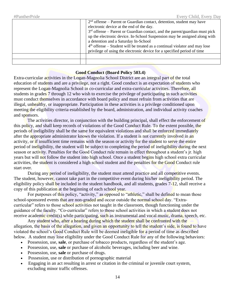| $4th$ offense – Student will be treated as a continual violator and may lose<br>privilege of using the electronic device for a specified period of time | $2nd$ offense – Parent or Guardian contact, detention, student may have<br>electronic device at the end of the day.<br>$3rd$ offense – Parent or Guardian contact, and the parent/guardian must pick<br>up the electronic device. In-School Suspension may be assigned along with |
|---------------------------------------------------------------------------------------------------------------------------------------------------------|-----------------------------------------------------------------------------------------------------------------------------------------------------------------------------------------------------------------------------------------------------------------------------------|
|                                                                                                                                                         | a detention and a Saturday In-School                                                                                                                                                                                                                                              |
|                                                                                                                                                         |                                                                                                                                                                                                                                                                                   |
|                                                                                                                                                         |                                                                                                                                                                                                                                                                                   |

### **Good Conduct (Board Policy 503.4)**

Extra-curricular activities in the Logan-Magnolia School District are an integral part of the total education of students and are a privilege, not a right. Good conduct is an expectation of students who represent the Logan-Magnolia School in co-curricular and extra-curricular activities. Therefore, all students in grades 7 through 12 who wish to exercise the privilege of participating in such activities must conduct themselves in accordance with board policy and must refrain from activities that are illegal, unhealthy, or inappropriate. Participation in these activities is a privilege conditioned upon meeting the eligibility criteria established by the board, administration, and individual activity coaches and sponsors.

The activities director, in conjunction with the building principal, shall effect the enforcement of this policy, and shall keep records of violations of the Good Conduct Rule. To the extent possible, the periods of ineligibility shall be the same for equivalent violations and shall be enforced immediately after the appropriate administrator knows the violation. If a student is not currently involved in an activity, or if insufficient time remains with the season or activity for the student to serve the entire period of ineligibility, the student will be subject to completing the period of ineligibility during the next season or activity. Penalties for the Good Conduct rule remain in effect throughout a student's jr. high years but will not follow the student into high school. Once a student begins high school extra curricular activities, the student is considered a high school student and the penalties for the Good Conduct rule start over.

During any period of ineligibility, the student must attend practice and all competitive events. The student, however, cannot take part in the competitive event during his/her ineligibility period. The eligibility policy shall be included in the student handbook, and all students, grades 7-12, shall receive a copy of this publication at the beginning of each school year.

For purposes of this policy, "activity," as opposed to "athletic," shall be defined to mean those school-sponsored events that are non-graded and occur outside the normal school day. "Extracurricular" refers to those school activities not taught in the classroom, though functioning under the guidance of the faculty. "Co-curricular" refers to those school activities in which a student does not receive academic credit(s) while participating, such as instrumental and vocal music, drama, speech, etc.

Any student who, after a hearing during which the student shall be confronted with the allegation, the basis of the allegation, and given an opportunity to tell the student's side, is found to have violated the school's Good Conduct Rule will be deemed ineligible for a period of time as described below. A student may lose eligibility under the Good Conduct Rule for any of the following behaviors:

- Possession, use, **sale**, or purchase of tobacco products, regardless of the student's age.
- Possession, use, **sale** or purchase of alcoholic beverages, including beer and wine.
- Possession, use, **sale** or purchase of drugs.
- Possession, use or distribution of pornographic material
- Engaging in an act resulting in arrest or citation in the criminal or juvenile court system, excluding minor traffic offenses.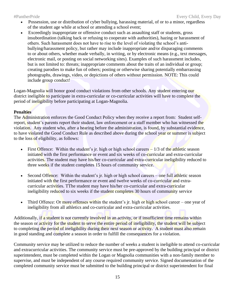- Possession, use or distribution of cyber bullying, harassing material, of or to a minor, regardless of the student age while at school or attending a school event;
- Exceedingly inappropriate or offensive conduct such as assaulting staff or students, gross insubordination (talking back or refusing to cooperate with authorities), hazing or harassment of others. Such harassment does not have to rise to the level of violating the school's antibullying/harassment policy, but rather may include inappropriate and/or disparaging comments to or about others, whether made verbally, in writing, or by electronic means (e.g., text messages, electronic mail, or posting on social networking sites). Examples of such harassment includes, but is not limited to: threats; inappropriate comments about the traits of an individual or group; creating parodies to make fun of others; posting or otherwise sharing potentially embarrassing photographs, drawings, video, or depictions of others without permission. NOTE: This could include group conduct!

Logan-Magnolia will honor good conduct violations from other schools. Any student entering our district ineligible to participate in extra-curricular or co-curricular activities will have to complete the period of ineligibility before participating at Logan-Magnolia.

## **Penalties**

The Administration enforces the Good Conduct Policy when they receive a report from: Student selfreport, student's parents report their student, law enforcement or a staff member who has witnessed the violation. Any student who, after a hearing before the administration, is found, by substantial evidence, to have violated the Good Conduct Rule as described above during the school year or summer is subject to the loss of eligibility, as follows:

- First Offence: Within the student's jr. high or high school careers  $-1/3$  of the athletic season initiated with the first performance or event and six weeks of co-curricular and extra-curricular activities. The student may have his/her co-curricular and extra-curricular ineligibility reduced to three weeks if the student completes 15 hours of community service.
- Second Offence: Within the student's jr. high or high school careers one full athletic season initiated with the first performance or event and twelve weeks of co-curricular and extracurricular activities. TThe student may have his/her co-curricular and extra-curricular ineligibility reduced to six weeks if the student completes 30 hours of community service
- Third Offence: Or more offenses within the student's jr. high or high school career one year of ineligibility from all athletics and co-curricular and extra-curricular activities.

Additionally, if a student is not currently involved in an activity, or if insufficient time remains within the season or activity for the student to serve the entire period of ineligibility, the student will be subject to completing the period of ineligibility during their next season or activity. A student must also remain in good standing and complete a season in order to fulfill the consequences for a violation.

Community service may be utilized to reduce the number of weeks a student is ineligible to attend co-curricular and extracurricular activities. The community service must be pre-approved by the building principal or district superintendent, must be completed within the Logan or Magnolia communities with a non-family member to supervise, and must be independent of any course required community service. Signed documentation of the completed community service must be submitted to the building principal or district superintendent for final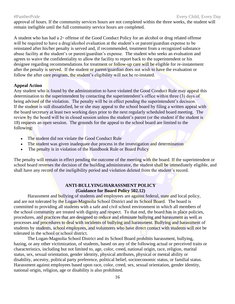approval of hours. If the community services hours are not completed within the three weeks, the student will remain ineligible until the full community service hours are completed.

A student who has had a  $2<sup>nd</sup>$  offense of the Good Conduct Policy for an alcohol or drug related offense will be required to have a drug/alcohol evaluation at the student's or parent/guardian expense to be reinstated after his/her penalty is served and, if recommended, treatment from a recognized substance abuse facility at the student's or parent/guardian's expense. The student who seeks an evaluation and agrees to waive the confidentiality to allow the facility to report back to the superintendent or his designee regarding recommendations for treatment or follow-up care will be eligible for re-instatement after the penalty is served. If the student or parent/guardian does not wish to have the evaluation or follow the after care program, the student's eligibility will not be re-instated.

### **Appeal Action**

Any student who is found by the administration to have violated the Good Conduct Rule may appeal this determination to the superintendent by contacting the superintendent's office within three (3) days of being advised of the violation. The penalty will be in effect pending the superintendent's decision. If the student is still dissatisfied, he or she may appeal to the school board by filing a written appeal with the board secretary at least two working days prior to the next regularly scheduled board meeting. The review by the board will be in closed session unless the student's parent (or the student if the student is 18) requests an open session. The grounds for the appeal to the school board are limited to the following:

- The student did not violate the Good Conduct Rule
- The student was given inadequate due process in the investigation and determination
- The penalty is in violation of the Handbook Rule or Board Policy

The penalty will remain in effect pending the outcome of the meeting with the board. If the superintendent or school board reverses the decision of the building administrator, the student shall be immediately eligible, and shall have any record of the ineligibility period and violation deleted from the student's record.

### **ANTI-BULLYING/HARASSMENT POLICY (Guidance for Board Policy 502.12)**

Harassment and bullying of students and employees are against federal, state and local policy, and are not tolerated by the Logan-Magnolia School District and its School Board. The board is committed to providing all students with a safe and civil school environment in which all members of the school community are treated with dignity and respect. To that end, the board has in place policies, procedures, and practices that are designed to reduce and eliminate bullying and harassment as well as processes and procedures to deal with incidents of bullying and harassment. Bullying and harassment of students by students, school employees, and volunteers who have direct contact with students will not be tolerated in the school or school district.

The Logan-Magnolia School District and its School Board prohibits harassment, bullying, hazing, or any other victimization, of students, based on any of the following actual or perceived traits or characteristics, including but not limited to, age, color, creed, national origin, race, religion, marital status, sex, sexual orientation, gender identity, physical attributes, physical or mental ability or disability, ancestry, political party preference, political belief, socioeconomic status, or familial status. Harassment against employees based upon race, color, creed, sex, sexual orientation, gender identity, national origin, religion, age or disability is also prohibited.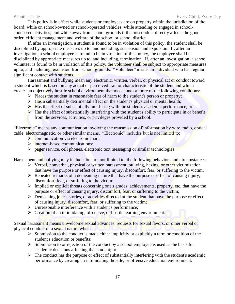This policy is in effect while students or employees are on property within the jurisdiction of the board; while on school-owned or school-operated vehicles; while attending or engaged in schoolsponsored activities; and while away from school grounds if the misconduct directly affects the good order, efficient management and welfare of the school or school district.

If, after an investigation, a student is found to be in violation of this policy, the student shall be disciplined by appropriate measures up to, and including, suspension and expulsion. If, after an investigation, a school employee is found to be in violation of this policy, the employee shall be disciplined by appropriate measures up to, and including, termination. If, after an investigation, a school volunteer is found to be in violation of this policy, the volunteer shall be subject to appropriate measures up to, and including, exclusion from school grounds. "Volunteer" means an individual who has regular, significant contact with students.

Harassment and bullying mean any electronic, written, verbal, or physical act or conduct toward a student which is based on any actual or perceived trait or characteristic of the student and which creates an objectively hostile school environment that meets one or more of the following conditions:

- $\triangleright$  Places the student in reasonable fear of harm to the student's person or property;
- $\triangleright$  Has a substantially detrimental effect on the student's physical or mental health;
- $\triangleright$  Has the effect of substantially interfering with the student's academic performance; or
- $\blacktriangleright$  Has the effect of substantially interfering with the student's ability to participate in or benefit from the services, activities, or privileges provided by a school.

"Electronic" means any communication involving the transmission of information by wire, radio, optical cable, electromagnetic, or other similar means. "Electronic" includes but is not limited to;

- $\triangleright$  communication via electronic mail;
- ➢ internet-based communications;
- $\triangleright$  pager service, cell phones, electronic text messaging or similar technologies.

Harassment and bullying may include, but are not limited to, the following behaviors and circumstances:

- $\triangleright$  Verbal, nonverbal, physical or written harassment, bullying, hazing, or other victimization that have the purpose or effect of causing injury, discomfort, fear, or suffering to the victim;
- $\triangleright$  Repeated remarks of a demeaning nature that have the purpose or effect of causing injury, discomfort, fear, or suffering to the victim;
- $\triangleright$  Implied or explicit threats concerning one's grades, achievements, property, etc. that have the purpose or effect of causing injury, discomfort, fear, or suffering to the victim;
- $\triangleright$  Demeaning jokes, stories, or activities directed at the student that have the purpose or effect of causing injury, discomfort, fear, or suffering to the victim;
- ➢ Unreasonable interference with a student's performance;
- ➢ Creation of an intimidating, offensive, or hostile learning environment.

Sexual harassment means unwelcome sexual advances, requests for sexual favors, or other verbal or physical conduct of a sexual nature when:

- $\triangleright$  Submission to the conduct is made either implicitly or explicitly a term or condition of the student's education or benefits;
- $\triangleright$  Submission to or rejection of the conduct by a school employee is used as the basis for academic decisions affecting that student; or
- $\triangleright$  The conduct has the purpose or effect of substantially interfering with the student's academic performance by creating an intimidating, hostile, or offensive education environment.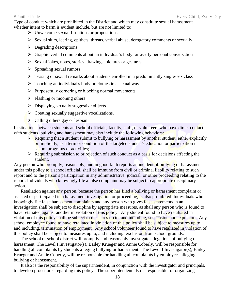Type of conduct which are prohibited in the District and which may constitute sexual harassment whether intent to harm is evident include, but are not limited to:

- ➢ Unwelcome sexual flirtations or propositions
- ➢ Sexual slurs, leering, epithets, threats, verbal abuse, derogatory comments or sexually
- $\triangleright$  Degrading descriptions
- ➢ Graphic verbal comments about an individual's body, or overly personal conversation
- ➢ Sexual jokes, notes, stories, drawings, pictures or gestures
- $\triangleright$  Spreading sexual rumors
- ➢ Teasing or sexual remarks about students enrolled in a predominantly single-sex class
- $\triangleright$  Touching an individual's body or clothes in a sexual way
- ➢ Purposefully cornering or blocking normal movements
- $\triangleright$  Flashing or mooning others
- $\triangleright$  Displaying sexually suggestive objects
- $\triangleright$  Creating sexually suggestive vocalizations.
- $\triangleright$  Calling others gay or lesbian

In situations between students and school officials, faculty, staff, or volunteers who have direct contact with students, bullying and harassment may also include the following behaviors:

- $\triangleright$  Requiring that a student submit to bullying or harassment by another student, either explicitly or implicitly, as a term or condition of the targeted student's education or participation in school programs or activities;
- $\triangleright$  Requiring submission to or rejection of such conduct as a basis for decisions affecting the student.

Any person who promptly, reasonably, and in good faith reports an incident of bullying or harassment under this policy to a school official, shall be immune from civil or criminal liability relating to such report and to the person's participation in any administrative, judicial, or other proceeding relating to the report. Individuals who knowingly file a false complaint may be subject to appropriate disciplinary action.

Retaliation against any person, because the person has filed a bullying or harassment complaint or assisted or participated in a harassment investigation or proceeding, is also prohibited. Individuals who knowingly file false harassment complaints and any person who gives false statements in an investigation shall be subject to discipline by appropriate measures, as shall any person who is found to have retaliated against another in violation of this policy. Any student found to have retaliated in violation of this policy shall be subject to measures up to, and including, suspension and expulsion. Any school employee found to have retaliated in violation of this policy shall be subject to measures up to, and including, termination of employment. Any school volunteer found to have retaliated in violation of this policy shall be subject to measures up to, and including, exclusion from school grounds.

The school or school district will promptly and reasonably investigate allegations of bullying or harassment. The Level I Investigator(s), Bailey Krueger and Annie Coberly, will be responsible for handling all complaints by students alleging bullying or harassment. The Level I Investigator(s), Bailey Krueger and Annie Coberly, will be responsible for handling all complaints by employees alleging bullying or harassment.

It also is the responsibility of the superintendent, in conjunction with the investigator and principals, to develop procedures regarding this policy. The superintendent also is responsible for organizing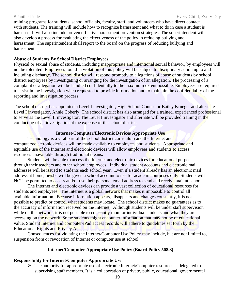training programs for students, school officials, faculty, staff, and volunteers who have direct contact with students. The training will include how to recognize harassment and what to do in case a student is harassed. It will also include proven effective harassment prevention strategies. The superintendent will also develop a process for evaluating the effectiveness of the policy in reducing bullying and harassment. The superintendent shall report to the board on the progress of reducing bullying and harassment.

### **Abuse of Students By School District Employees**

Physical or sexual abuse of students, including inappropriate and intentional sexual behavior, by employees will not be tolerated. Employees found in violation of this policy will be subject to disciplinary action up to and including discharge. The school district will respond promptly to allegations of abuse of students by school district employees by investigating or arranging for the investigation of an allegation. The processing of a complaint or allegation will be handled confidentially to the maximum extent possible. Employees are required to assist in the investigation when requested to provide information and to maintain the confidentiality of the reporting and investigation process.

The school district has appointed a Level I investigator, High School Counselor Bailey Krueger and alternate Level I investigator, Annie Coberly. The school district has also arranged for a trained, experienced professional to serve as the Level II investigator. The Level I investigator and alternate will be provided training in the conducting of an investigation at the expense of the school district.

## **Internet/Computer/Electronic Devices Appropriate Use**

Technology is a vital part of the school district curriculum and the Internet and computers/electronic devices will be made available to employees and students. Appropriate and equitable use of the Internet and electronic devices will allow employees and students to access resources unavailable through traditional means.

Students will be able to access the Internet and electronic devices for educational purposes through their teachers and other school employees. Individual student accounts and electronic mail addresses will be issued to students each school year. Even if a student already has an electronic mail address at home, he/she will be given a school account to use for academic purposes only. Students will NOT be permitted to access and/or use their personal email address to send and receive mail at school.

The Internet and electronic devices can provide a vast collection of educational resources for students and employees. The Internet is a global network that makes it impossible to control all available information. Because information appears, disappears and changes constantly, it is not possible to predict or control what students may locate. The school district makes no guarantees as to the accuracy of information received on the Internet. Although students will be under staff supervision while on the network, it is not possible to constantly monitor individual students and what they are accessing on the network. Some students might encounter information that may not be of educational value. Student Internet and computer/iPad access records will adhere to guidelines set forth by the Educational Rights and Privacy Act.

Consequences for violating the Internet/Computer Use Policy may include, but are not limited to, suspension from or revocation of Internet or computer use at school.

## **Internet/Computer Appropriate Use Policy (Board Policy 508.8)**

#### **Responsibility for Internet/Computer Appropriate Use**

 $\triangleright$  The authority for appropriate use of electronic Internet/Computer resources is delegated to supervising staff members. It is a collaboration of private, public, educational, governmental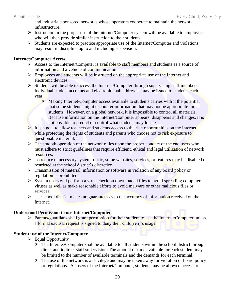and industrial sponsored networks whose operators cooperate to maintain the network infrastructure.

- $\triangleright$  Instruction in the proper use of the Internet/Computer system will be available to employees who will then provide similar instruction to their students.
- ➢ Students are expected to practice appropriate use of the Internet/Computer and violations may result in discipline up to and including suspension.

## **Internet/Computer Access**

- ➢ Access to the Internet/Computer is available to staff members and students as a source of information and a vehicle of communication.
- ➢ Employees and students will be instructed on the appropriate use of the Internet and electronic devices.
- $\triangleright$  Students will be able to access the Internet/Computer through supervising staff members. Individual student accounts and electronic mail addresses may be issued to students each year.
	- ➢ Making Internet/Computer access available to students carries with it the potential that some students might encounter information that may not be appropriate for students. However, on a global network, it is impossible to control all materials. Because information on the Internet/Computer appears, disappears and changes, it is not possible to predict or control what students may locate.
- ➢ It is a goal to allow teachers and students access to the rich opportunities on the Internet while protecting the rights of students and parents who choose not to risk exposure to questionable material.
- $\triangleright$  The smooth operation of the network relies upon the proper conduct of the end users who must adhere to strict guidelines that require efficient, ethical and legal utilization of network resources.
- $\triangleright$  To reduce unnecessary system traffic, some websites, services, or features may be disabled or restricted at the school district's discretion.
- $\triangleright$  Transmission of material, information or software in violation of any board policy or regulation is prohibited.
- ➢ System users will perform a virus check on downloaded files to avoid spreading computer viruses as well as make reasonable efforts to avoid malware or other malicious files or services.
- $\triangleright$  The school district makes no guarantees as to the accuracy of information received on the Internet.

## **Understood Permission to use Internet/Computer**

**Example 1** Parents/guardians shall grant permission for their student to use the Internet/Computer unless a formal excusal request is signed to deny their child(ren)'s usage.

## **Student use of the Internet/Computer**

- ➢ Equal Opportunity
	- $\triangleright$  The Internet/Computer shall be available to all students within the school district through direct and indirect staff supervision. The amount of time available for each student may be limited to the number of available terminals and the demands for each terminal.
	- $\triangleright$  The use of the network is a privilege and may be taken away for violation of board policy or regulations. As users of the Internet/Computer, students may be allowed access to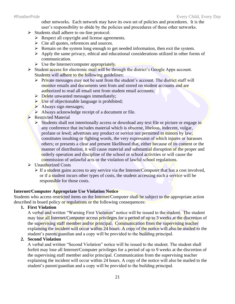other networks. Each network may have its own set of policies and procedures. It is the user's responsibility to abide by the policies and procedures of these other networks.

- ➢ Students shall adhere to on-line protocol:
	- $\triangleright$  Respect all copyright and license agreements.
	- $\triangleright$  Cite all quotes, references and sources.
	- ➢ Remain on the system long enough to get needed information, then exit the system.
	- ➢ Apply the same privacy, ethical and educational considerations utilized in other forms of communication.
	- $\triangleright$  Use the Internet/computer appropriately.
- $\triangleright$  Student access for electronic mail will be through the district's Google Apps account. Students will adhere to the following guidelines:
	- ➢ Private messages may not be sent from the student's account. The district staff will monitor emails and documents sent from and stored on student accounts and are authorized to read all email sent from student email accounts;
	- $\triangleright$  Delete unwanted messages immediately:
	- ➢ Use of objectionable language is prohibited;
	- $\triangleright$  Always sign messages;
	- ➢ Always acknowledge receipt of a document or file.
- ➢ Restricted Material
	- ➢ Students shall not intentionally access or download any text file or picture or engage in any conference that includes material which is obscene, libelous, indecent, vulgar, profane or lewd; advertises any product or service not permitted to minors by law; constitutes insulting or fighting words, the very expression of which injures or harasses others; or presents a clear and present likelihood that, either because of its content or the manner of distribution, it will cause material and substantial disruption of the proper and orderly operation and discipline of the school or school activities or will cause the commission of unlawful acts or the violation of lawful school regulations.
- ➢ Unauthorized Costs
	- $\triangleright$  If a student gains access to any service via the Internet/Computer that has a cost involved, or if a student incurs other types of costs, the student accessing such a service will be responsible for those costs.

## **Internet/Computer Appropriate Use Violation Notice**

Students who access restricted items on the Internet/Computer shall be subject to the appropriate action described in board policy or regulations or the following consequences:

## **1. First Violation**

A verbal and written "Warning First Violation" notice will be issued to the student. The student may lose all Internet/Computer access privileges for a period of up to 3 weeks at the discretion of the supervising staff member and/or principal. Communication from the supervising teacher explaining the incident will occur within 24 hours. A copy of the notice will also be mailed to the student's parent/guardian and a copy will be provided to the building principal.

## **2. Second Violation**

A verbal and written "Second Violation" notice will be issued to the student. The student shall forfeit may lose all Internet/Computer privileges for a period of up to 9 weeks at the discretion of the supervising staff member and/or principal. Communication from the supervising teacher explaining the incident will occur within 24 hours. A copy of the notice will also be mailed to the student's parent/guardian and a copy will be provided to the building principal.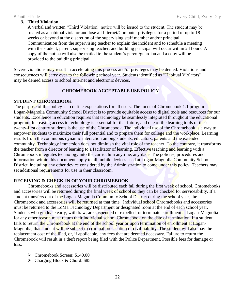A verbal and written "Third Violation" notice will be issued to the student. The student may be treated as a habitual violator and lose all Internet/Computer privileges for a period of up to 18 weeks or beyond at the discretion of the supervising staff member and/or principal. Communication from the supervising teacher to explain the incident and to schedule a meeting with the student, parent, supervising teacher, and building principal will occur within 24 hours. A copy of the notice will also be mailed to the student's parent/guardian and a copy will be provided to the building principal.

Severe violations may result in accelerating this process and/or privileges may be denied. Violations and consequences will carry over to the following school year. Students identified as "Habitual Violators" may be denied access to school Internet and electronic devices.

## **CHROMEBOOK ACCEPTABLE USE POLICY**

## **STUDENT CHROMEBOOK**

The purpose of this policy is to define expectations for all users. The focus of Chromebook 1:1 program at Logan-Magnolia Community School District is to provide equitable access to digital tools and resources for our students. Excellence in education requires that technology be seamlessly integrated throughout the educational program. Increasing access to technology is essential for that future, and one of the learning tools of these twenty-first century students is the use of the Chromebook. The individual use of the Chromebook is a way to empower students to maximize their full potential and to prepare them for college and the workplace. Learning results from the continuous dynamic interaction among students, educators, parents and the extended community. Technology immersion does not diminish the vital role of the teacher. To the contrary, it transforms the teacher from a director of learning to a facilitator of learning. Effective teaching and learning with a Chromebook integrates technology into the curriculum anytime, anyplace. The policies, procedures and information within this document apply to all mobile devices used at Logan-Magnolia Community School District, including any other device considered by the Administration to come under this policy. Teachers may set additional requirements for use in their classroom.

### **RECEIVING & CHECK-IN OF YOUR CHROMEBOOK**

Chromebooks and accessories will be distributed each fall during the first week of school. Chromebooks and accessories will be returned during the final week of school so they can be checked for serviceability. If a student transfers out of the Logan-Magnolia Community School District during the school year, the Chromebook and accessories will be returned at that time. Individual school Chromebooks and accessories must be returned to the LoMa Technology Department or designated room at the end of each school year. Students who graduate early, withdraw, are suspended or expelled, or terminate enrollment at Logan-Magnolia for any other reason must return their individual school Chromebook on the date of termination. If a student fails to return the Chromebook at the end of the school year or upon termination of enrollment at Logan-Magnolia, that student will be subject to criminal prosecution or civil liability. The student will also pay the replacement cost of the iPad, or, if applicable, any fees that are deemed necessary. Failure to return the Chromebook will result in a theft report being filed with the Police Department. Possible fees for damage or loss:

- ➢ Chromebook Screen: \$140.00
- $\triangleright$  Charging Block & Chord: \$85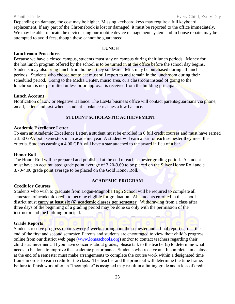Depending on damage, the cost may be higher. Missing keyboard keys may require a full keyboard replacement. If any part of the Chromebook is lost or damaged, it must be reported to the office immediately. We may be able to locate the device using our mobile device management system and in house repairs may be attempted to avoid fees, though these cannot be guaranteed.

### **LUNCH**

### **Lunchroom Procedures**

Because we have a closed campus, students must stay on campus during their lunch periods. Money for the hot lunch program offered by the school is to be turned in at the office before the school day begins. Students may also bring lunch from home if they so desire. Milk may be purchased during all lunch periods. Students who choose not to eat must still report to and remain in the lunchroom during their scheduled period. Going to the Media Center, music area, or a classroom instead of going to the lunchroom is not permitted unless prior approval is received from the building principal.

### **Lunch Account**

Notification of Low or Negative Balance: The LoMa business office will contact parents/guardians via phone, email, letters and text when a student's balance reaches a low balance.

## **STUDENT SCHOLASTIC ACHIEVEMENT**

### **Academic Excellence Letter**

To earn an Academic Excellence Letter, a student must be enrolled in 6 full credit courses and must have earned a 3.50 GPA both semesters in an academic year. A student will earn a bar for each semester they meet the criteria. Students earning a 4.00 GPA will have a star attached to the award in lieu of a bar.

## **Honor Roll**

The Honor Roll will be prepared and published at the end of each semester grading period. A student must have an accumulated grade point average of 3.20-3.69 to be placed on the Silver Honor Roll and a 3.70-4.00 grade point average to be placed on the Gold Honor Roll.

## **ACADEMIC PROGRAM**

## **Credit for Courses**

Students who wish to graduate from Logan-Magnolia High School will be required to complete all semesters of academic credit to become eligible for graduation. All students enrolled in the school district must **carry at least six (6) academic classes per semester**. Withdrawing from a class after three days of the beginning of a grading period may be done so only with the permission of the instructor and the building principal.

### **Grade Reports**

Students receive progress reports every 4 weeks throughout the semester and a final report card at the end of the first and second semester. Parents and students are encouraged to view their child's progress online from our district web page [\(www.lomaschools.org\)](http://www.lomaschools.org/) and/or to contact teachers regarding their child's achievement. If you have concerns about grades, please talk to the teacher(s) to determine what needs to be done to improve the academic performance. Students who receive an "Incomplete" in a class at the end of a semester must make arrangements to complete the course work within a designated time frame in order to earn credit for the class. The teacher and the principal will determine the time frame. Failure to finish work after an "Incomplete" is assigned may result in a failing grade and a loss of credit.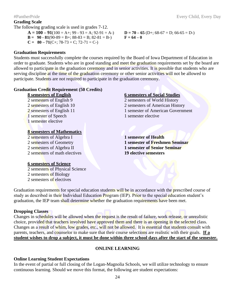## **Grading Scale**

The following grading scale is used in grades 7-12.

 $A = 100 - 91(100 = A +; 99 - 93 = A; 92 - 91 = A -)$   $D = 70 - 65(D +; 68 - 67 = D; 66 - 65 = D -)$ **B** = **90**  $\cdot$  **81**(90-89 = B+; 88-83 = B; 82-81 = B-) **F** = **64** - **0 CO**  $\overline{71}$ (C+; 78-73 = C; 72-71 = C-)

$$
C = 80 - 71(C+; 78-73 = C; 72-71 = C
$$

## **Graduation Requirements**

Students must successfully complete the courses required by the Board of Iowa Department of Education in order to graduate. Students who are in good standing and meet the graduation requirements set by the board are allowed to participate in the graduation ceremony and in senior activities. It is possible that students who are serving discipline at the time of the graduation ceremony or other senior activities will not be allowed to participate. Students are not required to participate in the graduation ceremony.

## **Graduation Credit Requirement (50 Credits)**

1 semester of Speech 1 semester elective 1 semester elective

## **8 semesters of Mathematics**

2 semesters of Algebra I **1 semester of Health** 2 semesters of math electives **19 elective semesters**

## **6 semesters of Science**

2 semesters of Physical Science 2 semesters of Biology 2 semesters of electives

## **8 semesters of English 6 semesters of Social Studies**

2 semesters of English 9 2 semesters of World History 2 semesters of English 10 2 semesters of American History 2 semesters of English 11 1 and 1 semester of American Government

2 semesters of Geometry **1 semester of Freshmen Seminar** 2 semesters of Algebra II **1 semester of Senior Seminar**

Graduation requirements for special education students will be in accordance with the prescribed course of study as described in their Individual Education Program (IEP). Prior to the special education student's graduation, the IEP team shall determine whether the graduation requirements have been met.

## **Dropping Classes**

Changes in schedules will be allowed when the request is the result of failure, work release, or unrealistic choice, provided that teachers involved have approved them and there is an opening in the selected class. Changes as a result of whim, low grades, etc., will not be allowed. It is essential that students consult with parents, teachers, and counselor to make sure that their course selections are realistic with their goals. **If a student wishes to drop a subject, it must be done within three school days after the start of the semester.**

## **ONLINE LEARNING**

## **Online Learning Student Expectations**

In the event of partial or full closing of the Logan-Magnolia Schools, we will utilize technology to ensure continuous learning. Should we move this format, the following are student expectations: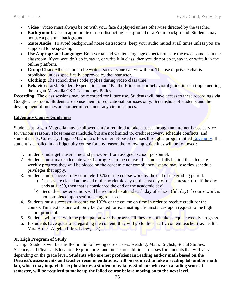- **Video:** Video must always be on with your face displayed unless otherwise directed by the teacher.
- **Background**: Use an appropriate or non-distracting background or a Zoom background. Students may not use a personal background.
- **Mute Audio:** To avoid background noise distractions, keep your audio muted at all times unless you are supposed to be speaking
- **Use Appropriate Language:** Both verbal and written language expectations are the exact same as in the classroom; if you wouldn't do it, say it, or write it in class, then you do not do it, say it, or write it in the online platform.
- **Group Chat:** All chats are to be written so everyone can view them. The use of private chat is prohibited unless specifically approved by the instructor.
- **Clothing:** The school dress code applies during video class time.
- **Behavior:** LoMa Student Expectations and #PantherPride are our behavioral guidelines in implementing the Logan-Magnolia CSD Technology Policy.

**Recording:** The class sessions may be recorded for future use. Students will have access to these recordings via Google Classroom. Students are to use them for educational purposes only. Screenshots of students and the development of memes are not permitted under any circumstances.

## **Edgenuity Course Guidelines**

Students at Logan-Magnolia may be allowed and/or required to take classes through an internet-based service for various reasons. Those reasons include, but are not limited to, credit recovery, schedule conflicts, and student needs. Currently, Logan-Magnolia offers internet-based courses through a program titled [Edgenuity.](https://www.edgenuity.com/) If a student is enrolled in an Edgenuity course for any reason the following guidelines will be followed:

- 1. Students must get a username and password from assigned school personnel.
- 2. Students must make adequate weekly progress in the course. If a student falls behind the adequate weekly progress they will be placed on the academic noncompliance list and may lose flex schedule privileges that apply.
- 3. Students must successfully complete 100% of the course work by the end of the grading period.
	- a) Classes are closed at the end of the academic day on the last day of the semester. (i.e. If the day ends at  $11:30$ , then that is considered the end of the academic day)
	- b) Second-semester seniors will be required to attend each day of school (full day) if course work is not completed upon seniors being released.
- 4. Students must successfully complete 100% of the course on time in order to receive credit for the course. Time extensions will only be granted for extenuating circumstances upon request to the high school principal.
- 5. Students will meet with the principal on weekly progress if they do not make adequate weekly progress.
- 6. If students have questions regarding the content, they will go to the specific content teacher (i.e. health, Mrs. Bruck; Algebra I, Ms. Lacey, etc.).

## **Jr. High Program of Study**

Jr. High Students will be enrolled in the following core classes: Reading, Math, English, Social Studies, Science, and Physical Education. Exploratories and music are additional classes for students that will vary depending on the grade level. **Students who are not proficient in reading and/or math based on the District's assessments and teacher recommendations, will be required to take a reading lab and/or math lab, which may impact the exploratories a student may take. Students who earn a failing score at semester, will be required to make up the failed course before moving on to the next level.**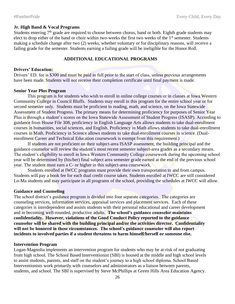#### **Jr. High Band & Vocal Programs**

Students entering 7<sup>th</sup> grade are required to choose between chorus, band or both. Eighth grade students may elect to drop either of the band or choir within two-weeks the first two weeks of the 1<sup>st</sup> semester. Students making a schedule change after two (2) weeks, whether voluntary or for disciplinary reasons, will receive a failing grade for the semester. Students earning a failing grade will be ineligible for the Honor Roll.

### **ADDITIONAL EDUCATIONAL PROGRAMS**

### **Drivers' Education:**

Drivers' ED. fee is \$300 and must be paid in full prior to the start of class, unless previous arrangements have been made. Students will not receive their completion certificate until final payment is made.

### **Senior Year Plus Program**

This program is for students who wish to enroll in online college courses or in classes at Iowa Western Community College in Council Bluffs. Students may enroll in this program for the entire school year or for second semester only. Students must be proficient in reading, math, and science, on the Iowa Statewide Assessment of Student Progress. The primary means for determining proficiency for purposes of Senior Year Plus is through a student's scores on the Iowa Statewide Assessment of Student Progress (ISASP). According to guidance from House File 308, proficiency in English Language Arts allows students to take dual-enrollment courses in humanities, social sciences, and English. Proficiency in Math allows students to take dual-enrollment courses in Math. Proficiency in Science allows students to take dual-enrollment courses in science. (Dualenrollment Career and Technical Education coursework is exempt from this requirement.)

If students are not proficient on their subject-area ISASP assessment, the building principal and the guidance counselor will review the student's most recent semester subject-area grades as a secondary means. The student's eligibility to enroll in Iowa Western Community College coursework during the upcoming school year will be determined by (his/her) final subject area semester grade earned at the end of the previous school year. The student must earn a C- or higher in this subject-area coursework.

Students enrolled at IWCC programs must provide their own transportation to and from campus. Students will pay a book fee for each dual credit course taken. Students enrolled at IWCC are still considered Lo-Ma students and may participate in all programs of the school, providing the schedules at IWCC will allow.

### **Guidance and Counseling**

The school district's guidance program is divided into four separate categories. The categories are counseling services, information services, appraisal services and placement services. Each of these categories is interdependent and assists students with their personal educational and career development and in becoming well-rounded, productive adults. **The school's guidance counselor maintains confidentiality. However, violations of the Good Conduct Policy reported to the guidance counselor will be shared with the building principal and/or the activities director. Confidentiality will not be honored in these circumstances. The school's guidance counselor will also report incidents to involved parties if a student threatens to harm himself/herself or someone else.** 

#### **Intervention Program**

Logan-Magnolia implements an intervention program for students who may be at-risk of not graduating from high school. The School Based Interventionist (SBI) is housed at the middle and high school levels to assist students, parents, and staff on the student's journey to a high school diploma. School Based Interventionists work primarily with counselors and administrators as a liaison between parents, students, and school. The SBI is supervised by Steve McPhillips at Green Hills Area Education Agency.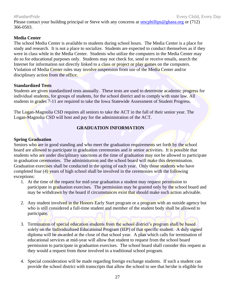Please contact your building principal or Steve with any concerns at [smcphillips@ghaea.org](mailto:smcphillips@ghaea.org) or (712) 366-0503.

## **Media Center**

The school Media Center is available to students during school hours. The Media Center is a place for study and research. It is not a place to socialize. Students are expected to conduct themselves as if they were in class while in the Media Center. Students who utilize the computers in the Media Center may do so for educational purposes only. Students may not check for, send or receive emails, search the Internet for information not directly linked to a class or project or play games on the computers. Violation of Media Center rules may involve suspension from use of the Media Center and/or disciplinary action from the office.

## **Standardized Tests**

Students are given standardized tests annually. These tests are used to determine academic progress for individual students, for groups of students, for the school district and to comply with state law. All students in grades 7-11 are required to take the Iowa Statewide Assessment of Student Progress.

The Logan-Magnolia CSD requires all seniors to take the ACT in the fall of their senior year. The Logan-Magnolia CSD will host and pay for the administration of the ACT.

## **GRADUATION INFORMATION**

## **Spring Graduation**

Seniors who are in good standing and who meet the graduation requirements set forth by the school board are allowed to participate in graduation ceremonies and in senior activities. It is possible that students who are under disciplinary sanctions at the time of graduation may not be allowed to participate in graduation ceremonies. The administration and the school board will make this determination. Graduation exercises shall be conducted in the spring of each year. Only those students who have completed four (4) years of high school shall be involved in the ceremonies with the following exceptions:

- 1. At the time of the request for mid-year graduation a student may request permission to participate in graduation exercises. The permission may be granted only by the school board and may be withdrawn by the board if circumstances exist that should make such action advisable.
- 2. Any student involved in the Honors Early Start program or a program with an outside agency but who is still considered a full-time student and member of the student body shall be allowed to participate.
- 3. Termination of special education students from the school district's program shall be based solely on the Individualized Educational Program (IEP) of that specific student. A duly signed diploma will be awarded at the close of that school year. A plan which calls for termination of educational services at mid-year will allow that student to request from the school board permission to participate in graduation exercises. The school board shall consider this request as they would a request from those involved in a traditional school program.
- 4. Special consideration will be made regarding foreign exchange students. If such a student can provide the school district with transcripts that allow the school to see that he/she is eligible for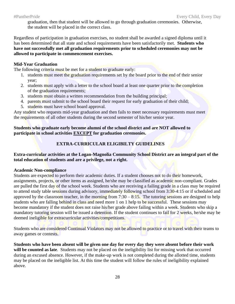graduation, then that student will be allowed to go through graduation ceremonies. Otherwise, the student will be placed in the correct class.

Regardless of participation in graduation exercises, no student shall be awarded a signed diploma until it has been determined that all state and school requirements have been satisfactorily met. **Students who have not successfully met all graduation requirements prior to scheduled ceremonies may not be allowed to participate in commencement exercises.**

## **Mid-Year Graduation**

The following criteria must be met for a student to graduate early:

- 1. students must meet the graduation requirements set by the board prior to the end of their senior year;
- 2. students must apply with a letter to the school board at least one quarter prior to the completion of the graduation requirements;
- 3. students must obtain a written recommendation from the building principal;
- 4. parents must submit to the school board their request for early graduation of their child;
- 5. students must have school board approval.

Any student who requests mid-year graduation and then fails to meet necessary requirements must meet the requirements of all other students during the second semester of his/her senior year.

## **Students who graduate early become alumni of the school district and are NOT allowed to participate in school activities EXCEPT for graduation ceremonies.**

## **EXTRA-CURRICULAR ELIGIBILTY GUIDELINES**

## **Extra-curricular activities at the Logan-Magnolia Community School District are an integral part of the total education of students and are a privilege, not a right.**

## **Academic Non-compliance**

Students are expected to perform their academic duties. If a student chooses not to do their homework, assignments, projects, or other items as assigned, he/she may be classified as academic non-compliant. Grades are pulled the first day of the school week. Students who are receiving a failing grade in a class may be required to attend study table sessions during advisory, immediately following school from 3:30-4:15 or if scheduled and approved by the classroom teacher, in the morning from  $7:30 - 8:15$ . The tutoring sessions are designed to help students who are falling behind in class and need more 1 on 1 help to be successful. These sessions may become mandatory if the student does not raise his/her grade above failing within a week. Students who skip a mandatory tutoring session will be issued a detention. If the student continues to fail for 2 weeks, he/she may be deemed ineligible for extracurricular activities/competitions.

Students who are considered Continual Violators may not be allowed to practice or to travel with their teams to away games or contests.

**Students who have been absent will be given one day for every day they were absent before their work**  will be counted as late. Students may not be placed on the ineligibility list for missing work that occurred during an excused absence. However, if the make-up work is not completed during the allotted time, students may be placed on the ineligible list. At this time the student will follow the rules of ineligibility explained above.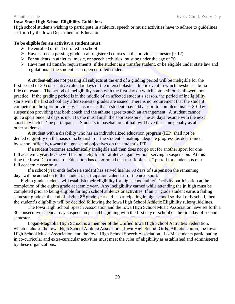#### #PantherPride Every Child, Every Day

### **Iowa State High School Eligibility Guidelines**

High school students wishing to participate in athletics, speech or music activities have to adhere to guidelines set forth by the Iowa Department of Education.

## **To be eligible for an activity, a student must:**

- $\triangleright$  Be enrolled or dual enrolled in school
- $\triangleright$  Have earned a passing grade in all registered courses in the previous semester (9-12)
- $\triangleright$  For students in athletics, music, or speech activities, must be under the age of 20
- $\triangleright$  Have met all transfer requirements, if the student is a transfer student, or be eligible under state law and regulations if the student is an open enrolled student.

A student-athlete not passing all subjects at the end of a grading period will be ineligible for the first period of 30 consecutive calendar days of the interscholastic athletic event in which he/she is a bona fide contestant. The period of ineligibility starts with the first day on which competition is allowed, not practice. If the grading period is in the middle of an affected student's season, the period of ineligibility starts with the first school day after semester grades are issued. There is no requirement that the student competed in the sport previously. This means that a student may add a sport to complete his/her 30-day suspension providing that both coach and the athlete agree to such an arrangement. A student cannot quit a sport once 30 days is up. He/she must finish the sport season or the 30 days resume with the next sport in which he/she participates. Students in baseball or softball will have the same penalty as all other students.

A student with a disability who has an individualized education program (IEP) shall not be denied eligibility on the basis of scholarship if the student is making adequate progress, as determined by school officials, toward the goals and objectives on the student's IEP.

If a student becomes academically ineligible and then does not go out for another sport for one full academic year, he/she will become eligible for athletics again without serving a suspension. At this time the Iowa Department of Education has determined that the "look back" period for students is one full academic year only.

If a school year ends before a student has served his/her 30 days of suspension the remaining days will be added on to the student's participation calendar for the next sport.

Eighth grade students will establish their eligibility for high school athletic/activity participation at the completion of the eighth grade academic year. Any ineligibility earned while attending the jr. high must be completed prior to being eligible for high school athletics or activities. If an 8<sup>th</sup> grade student earns a failing semester grade at the end of his/her 8<sup>th</sup> grade year and is participating in high school softball or baseball, then the student's eligibility will be decided following the Iowa High School Athletic Eligibility rules/guidelines.

The Iowa High School Speech Association and the Iowa High School Music Association have set forth a 30 consecutive calendar day suspension period beginning with the first day of school or the first day of second semester.

Logan-Magnolia High School is a member of the Unified Iowa High School Activities Federation, which includes the Iowa High School Athletic Association, Iowa High School Girls' Athletic Union, the Iowa High School Music Association, and the Iowa High School Speech Association. Lo-Ma students participating in co-curricular and extra-curricular activities must meet the rules of eligibility as established and administered by these organizations.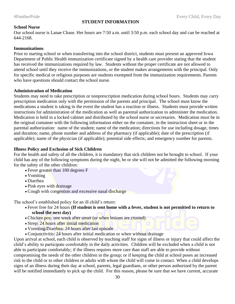## **STUDENT INFORMATION**

## **School Nurse**

Our school nurse is Lanae Chase. Her hours are 7:50 a.m. until 3:50 p.m. each school day and can be reached at 644-2168.

## **Immunizations**

Prior to starting school or when transferring into the school district, students must present an approved Iowa Department of Public Health immunization certificate signed by a health care provider stating that the student has received the immunizations required by law. Students without the proper certificate are not allowed to attend school until they receive the immunizations, or the student makes arrangements with the principal. Only for specific medical or religious purposes are students exempted from the immunization requirements. Parents who have questions should contact the school nurse.

## **Administration of Medication**

Students may need to take prescription or nonprescription medication during school hours. Students may carry prescription medication only with the permission of the parents and principal. The school must know the medications a student is taking in the event the student has a reaction or illness. Students must provide written instructions for administration of the medication as well as parental authorization to administer the medication. Medication is held in a locked cabinet and distributed by the school nurse or secretaries. Medication must be in the original container with the following information either on the container, in the instruction sheet or in the parental authorization: name of the student; name of the medication; directions for use including dosage, times and duration; name, phone number and address of the pharmacy (if applicable); date of the prescription (if applicable); name of the physician (if applicable); potential side effects; and emergency number for parents.

## **Illness Policy and Exclusion of Sick Children**

For the health and safety of all the children, it is mandatory that sick children not be brought to school. If your child has any of the following symptoms during the night, he or she will not be admitted the following morning for the safety of the other children:

- Fever greater than 100 degrees F
- Vomiting
- Diarrhea
- Pink eyes with drainage
- Cough with congestion and excessive nasal discharge

The school's established policy for an ill child's return:

- Fever free for 24 hours **(If student is sent home with a fever, student is not permitted to return to school the next day)**
- Chicken pox: one week after onset (or when lesions are crusted)
- Strep: 24 hours after initial medication
- Vomiting/Diarrhea: 24 hours after last episode
- Conjunctivitis: 24 hours after initial medication or when without drainage

Upon arrival at school, each child is observed by teaching staff for signs of illness or injury that could affect the child's ability to participate comfortably in the daily activities. Children will be excluded when a child is not able to participate comfortably; if the illness requires more care than staff are able to provide without compromising the needs of the other children in the group; or if keeping the child at school poses an increased risk to the child or to other children or adults with whom the child will come in contact. When a child develops signs of an illness during their day at school, parents, legal guardians, or other person authorized by the parent will be notified immediately to pick up the child. For this reason, please be sure that we have current, accurate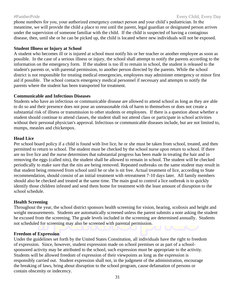phone numbers for you, your authorized emergency contact person and your child's pediatrician. In the meantime, we will provide the child a place to rest until the parent, legal guardian or designated person arrives under the supervision of someone familiar with the child. If the child is suspected of having a contagious disease, then, until she or he can be picked up, the child is located where new individuals will not be exposed.

### **Student Illness or Injury at School**

A student who becomes ill or is injured at school must notify his or her teacher or another employee as soon as possible. In the case of a serious illness or injury, the school shall attempt to notify the parents according to the information on the emergency form. If the student is too ill to remain in school, the student is released to the student's parents or, with parental permission, to another person directed by the parents. While the school district is not responsible for treating medical emergencies, employees may administer emergency or minor first aid if possible. The school contacts emergency medical personnel if necessary and attempts to notify the parents where the student has been transported for treatment.

## **Communicable and Infectious Diseases**

Students who have an infectious or communicable disease are allowed to attend school as long as they are able to do so and their presence does not pose an unreasonable risk of harm to themselves or does not create a substantial risk of illness or transmission to other students or employees. If there is a question about whether a student should continue to attend classes, the student shall not attend class or participate in school activities without their personal physician's approval. Infectious or communicable diseases include, but are not limited to, mumps, measles and chickenpox.

### **Head Lice**

Per school board policy if a child is found with live lice, he or she must be taken from school, treated, and then permitted to return to school. The student must be checked by the school nurse upon return to school. If there are no live lice and the nurse determines that substantial progress has been made in treating the hair and in removing the eggs (called nits), the student shall be allowed to remain in school. The student will be checked periodically to make sure that the nits are being removed. Repeated outbreaks on the same student may result in that student being removed from school until he or she is nit free. Actual treatment of lice, according to State recommendation, should consist of an initial treatment with retreatment 7-10 days later. All family members should also be checked and treated at the same time. The main goal to control a lice outbreak is to quickly identify those children infested and send them home for treatment with the least amount of disruption to the school schedule.

### **Health Screening**

Throughout the year, the school district sponsors health screening for vision, hearing, scoliosis and height and weight measurements. Students are automatically screened unless the parent submits a note asking the student be excused from the screening. The grade levels included in the screening are determined annually. Students not scheduled for screening may also be screened with parental permission.

### **Freedom of Expression**

Under the guidelines set forth by the United States Constitution, all individuals have the right to freedom of expression. Since, however, student expression made on school premises or as part of a schoolsponsored activity may be attributed to the school, such expression must be appropriate to the activity. Students will be allowed freedom of expression of their viewpoints as long as the expression is responsibly carried out. Student expression shall not, in the judgment of the administration, encourage the breaking of laws, bring about disruption to the school program, cause defamation of persons or contain obscenity or indecency.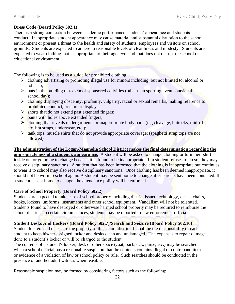## **Dress Code (Board Policy 502.1)**

There is a strong connection between academic performance, students' appearance and students' conduct. Inappropriate student appearance may cause material and substantial disruption to the school environment or present a threat to the health and safety of students, employees and visitors on school grounds. Students are expected to adhere to reasonable levels of cleanliness and modesty. Students are expected to wear clothing that is appropriate to their age level and that does not disrupt the school or educational environment.

The following is to be used as a guide for prohibited clothing:

- $\triangleright$  clothing advertising or promoting illegal use for minors including, but not limited to, alcohol or tobacco;
- $\triangleright$  hats in the building or to school-sponsored activities (other than sporting events outside the school day);
- ➢ clothing displaying obscenity, profanity, vulgarity, racial or sexual remarks, making reference to prohibited conduct, or similar displays;
- $\triangleright$  shorts that do not extend past extended fingers;
- $\triangleright$  pants with holes above extended fingers;
- $\triangleright$  clothing that reveals undergarments or inappropriate body parts (e.g cleavage, buttocks, mid-riff, etc. bra straps, underwear, etc.);
- $\triangleright$  tank tops, muscle shirts that do not provide appropriate coverage; (spaghetti strap tops are not allowed)

**The administration of the Logan-Magnolia School District makes the final determination regarding the appropriateness of a student's appearance.** A student will be asked to change clothing or turn their shirt inside out or go home to change because it is found to be inappropriate. If a student refuses to do so, they may receive disciplinary sanctions. A student that has been informed that the clothing is inappropriate but continues to wear it to school may also receive disciplinary sanctions. Once clothing has been deemed inappropriate, it should not be worn to school again. A student may be sent home to change after parents have been contacted. If a student is sent home to change, the attendance policy will be enforced.

## **Care of School Property (Board Policy 502.2)**

Students are expected to take care of school property including district issued technology, desks, chairs, books, lockers, uniforms, instruments and other school equipment. Vandalism will not be tolerated. Students found to have destroyed or otherwise harmed school property may be required to reimburse the school district. In certain circumstances, students may be reported to law enforcement officials.

## **Student Desks And Lockers (Board Policy 502.7)/Search and Seizure (Board Policy 502.10)**

Student lockers and desks are the property of the school district. It shall be the responsibility of each student to keep his/her assigned locker and desks clean and undamaged. The expenses to repair damage done to a student's locker or will be charged to the student.

The contents of a student's locker, desk or other space (coat, backpack, purse, etc.) may be searched when a school official has a reasonable suspicion that the contents contains illegal or contraband items or evidence of a violation of law or school policy or rule. Such searches should be conducted in the presence of another adult witness when feasible.

Reasonable suspicion may be formed by considering factors such as the following: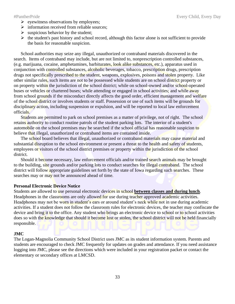- ➢ eyewitness observations by employees;
- ➢ information received from reliable sources;
- $\triangleright$  suspicious behavior by the student;
- $\triangleright$  the student's past history and school record, although this factor alone is not sufficient to provide the basis for reasonable suspicion.

School authorities may seize any illegal, unauthorized or contraband materials discovered in the search. Items of contraband may include, but are not limited to, nonprescription controlled substances, (e.g. marijuana, cocaine, amphetamines, barbiturates, look alike substances, etc.), apparatus used in conjunction with controlled substances, alcoholic beverages, tobacco, prescription drugs, prescription drugs not specifically prescribed to the student, weapons, explosives, poisons and stolen property. Like other similar rules, such items are not to be possessed while students are on school district property or on property within the jurisdiction of the school district; while on school-owned and/or school-operated buses or vehicles or chartered buses; while attending or engaged in school activities; and while away from school grounds if the misconduct directly affects the good order, efficient management and welfare of the school district or involves students or staff. Possession or use of such items will be grounds for disciplinary action, including suspension or expulsion, and will be reported to local law enforcement officials.

Students are permitted to park on school premises as a matter of privilege, not of right. The school retains authority to conduct routine patrols of the student parking lots. The interior of a student's automobile on the school premises may be searched if the school official has reasonable suspicion to believe that illegal, unauthorized or contraband items are contained inside.

The school board believes that illegal, unauthorized or contraband materials may cause material and substantial disruption to the school environment or present a threat to the health and safety of students, employees or visitors of the school district premises or property within the jurisdiction of the school district.

Should it become necessary, law enforcement officials and/or trained search animals may be brought to the building, site grounds and/or parking lots to conduct searches for illegal contraband. The school district will follow appropriate guidelines set forth by the state of Iowa regarding such searches. These searches may or may not be announced ahead of time.

### **Personal Electronic Device Notice**

Students are allowed to use personal electronic devices in school **between classes and during lunch**. Headphones in the classrooms are only allowed for use during teacher approved academic activities. Headphones may not be worn in student's ears or around student's neck while not in use during academic activities. If a student does not follow the classroom rules for electronic devices, the teacher may confiscate the device and bring it to the office. Any student who brings an electronic device to school or to school activities does so with the knowledge that should it become lost or stolen, the school district will not be held financially responsible.

### **JMC**

The Logan-Magnolia Community School District uses JMC as its student information system. Parents and students are encouraged to check JMC frequently for updates on grades and attendance. If you need assistance logging into JMC, please see the directions which were included in your registration packet or contact the elementary or secondary offices at LMCSD.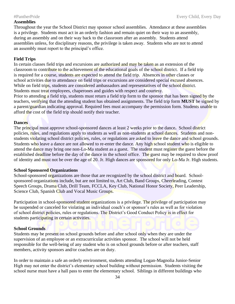### **Assemblies**

Throughout the year the School District may sponsor school assemblies. Attendance at these assemblies is a privilege. Students must act in an orderly fashion and remain quiet on their way to an assembly, during an assembly and on their way back to the classroom after an assembly. Students attend assemblies unless, for disciplinary reasons, the privilege is taken away. Students who are not to attend an assembly must report to the principal's office.

## **Field Trips**

In certain classes field trips and excursions are authorized and may be taken as an extension of the classroom to contribute to the achievement of the educational goals of the school district. If a field trip is required for a course, students are expected to attend the field trip. Absences in other classes or school activities due to attendance on field trips or excursions are considered special excused absences. While on field trips, students are considered ambassadors and representatives of the school district. Students must treat employees, chaperones and guides with respect and courtesy.

Prior to attending a field trip, students must return a field trip form to the sponsor that has been signed by the teachers, verifying that the attending student has obtained assignments. The field trip form **MUST** be signed by a parent/guardian indicating approval. Required fees must accompany the permission form. Students unable to afford the cost of the field trip should notify their teacher.

### **Dances**

The principal must approve school-sponsored dances at least 2 weeks prior to the dance**.** School district policies, rules, and regulations apply to students as well as non-students at school dances. Students and nonstudents violating school district policies, rules, or regulations are asked to leave the dance and school grounds. Students who leave a dance are not allowed to re-enter the dance. Any high school student who is eligible to attend the dance may bring one non-Lo-Ma student as a guest. The student must register the guest before the established deadline before the day of the dance in the school office. The guest may be required to show proof of identity and must not be over the age of 20. Jr. High dances are sponsored for only Lo-Ma Jr. High students.

### **School Sponsored Organizations**

School-sponsored organizations are those that are recognized by the school district and board. Schoolsponsored organizations include, but are not limited to, Art Club, Band Groups, Cheerleading, Contest Speech Groups, Drama Club, Drill Team, FCCLA, Key Club, National Honor Society, Peer Leadership, Science Club, Spanish Club and Vocal Music Groups.

Participation in school-sponsored student organizations is a privilege. The privilege of participation may be suspended or canceled for violating an individual coach's or sponsor's rules as well as for violation of school district policies, rules or regulations. The District's Good Conduct Policy is in effect for students participating in certain activities.

## **School Grounds**

Students may be present on school grounds before and after school only when they are under the supervision of an employee or an extracurricular activities sponsor. The school will not be held responsible for the well-being of any student who is on school grounds before or after teachers, staff members, activity sponsors and/or coaches are on duty.

In order to maintain a safe an orderly environment, students attending Logan-Magnolia Junior-Senior High may not enter the district's elementary school building without permission. Students visiting the school nurse must have a hall pass to enter the elementary school. Siblings in different buildings who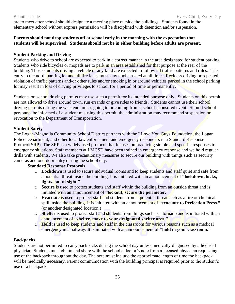are to meet after school should designate a meeting place outside the buildings. Students found in the elementary school without express permission will be disciplined with detention and/or suspension.

## **Parents should not drop students off at school early in the morning with the expectation that students will be supervised. Students should not be in either building before adults are present.**

## **Student Parking and Driving**

Students who drive to school are expected to park in a correct manner in the area designated for student parking. Students who ride bicycles or mopeds are to park in an area established for that purpose at the rear of the building. Those students driving a vehicle of any kind are expected to follow all traffic patterns and rules. The entry to the north parking lot and all fire lanes must stay unobstructed at all times. Reckless driving or repeated violation of traffic patterns and/or other rules and/or smoking in or around vehicles parked in the school parking lot may result in loss of driving privileges to school for a period of time or permanently.

Students on school driving permits may use such a permit for its intended purpose only. Students on this permit are not allowed to drive around town, run errands or give rides to friends. Students cannot use their school driving permits during the weekend unless going to or coming from a school-sponsored event. Should school personnel be informed of a student misusing this permit, the administration may recommend suspension or revocation to the Department of Transportation.

## **Student Safety**

The Logan-Magnolia Community School District partners with the I Love You Guys Foundation, the Logan Police Department, and other local law enforcement and emergency responders in a Standard Response Protocol(SRP). The SRP is a widely used protocol that focuses on practicing simple and specific responses to emergency situations. Staff members at LMCSD have been trained in emergency response and we hold regular drills with students. We also take precautionary measures to secure our building with things such as security cameras and one-door entry during the school day.

## **Standard Response Protocols**

- o **Lockdown** is used to secure individual rooms and to keep students and staff quiet and safe from a potential threat inside the building. It is initiated with an announcement of **"lockdown, locks, lights, out of sight."**
- o **Secure** is used to protect students and staff within the building from an outside threat and is initiated with an announcement of **"lockout, secure the perimeter."**
- o **Evacuate** is used to protect staff and students from a potential threat such as a fire or chemical spill inside the building. It is initiated with an announcement of **"evacuate to Perfection Press."** (or another designated location.)
- o **Shelter** is used to protect staff and students from things such as a tornado and is initiated with an announcement of **"shelter, move to your designated shelter area."**
- o **Hold** is used to keep students and staff in the classroom for various reasons such as a medical emergency in a hallway. It is initiated with an announcement of **"hold in your classroom."**

## **Backpacks**

Students are not permitted to carry backpacks during the school day unless medically diagnosed by a licensed physician. Students must obtain and share with the school a doctor's note from a licensed physician requesting use of the backpack throughout the day. The note must include the approximate length of time the backpack will be medically necessary. Parent communication with the building principal is required prior to the student's use of a backpack.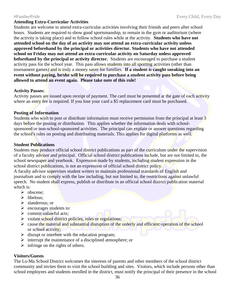Students are welcome to attend extra-curricular activities involving their friends and peers after school hours. Students are required to show good sportsmanship, to remain in the gym or auditorium (where the activity is taking place) and to follow school rules while at the activity. **Students who have not attended school on the day of an activity may not attend an extra-curricular activity unless approved beforehand by the principal or activities director. Students who have not attended school on Friday may not attend an extra-curricular activity on Saturday unless approved beforehand by the principal or activity director.** Students are encouraged to purchase a student activity pass for the school year. This pass allows students into all sporting activities (other than tournament games) and is truly a money saver for families. **If a student is caught sneaking into an event without paying, he/she will be required to purchase a student activity pass before being allowed to attend an event again. Please take note of this rule!**

## **Activity Passes:**

Activity passes are issued upon receipt of payment. The card must be presented at the gate of each activity where an entry fee is required. If you lose your card a \$5 replacement card must be purchased.

### **Posting of Information**

Students who wish to post or distribute information must receive permission from the principal at least 3 days before the posting or distribution. This applies whether the information deals with schoolsponsored or non-school-sponsored activities. The principal can explain or answer questions regarding the school's rules on posting and distributing materials. This applies for digital platforms as well.

### **Student Publications**

Students may produce official school district publications as part of the curriculum under the supervision of a faculty advisor and principal. Official school district publications include, but are not limited to, the school newspaper and yearbook. Expression made by students, including student expression in the school district publications, is not an expression of official school district policy.

A faculty advisor supervises student writers to maintain professional standards of English and journalism and to comply with the law including, but not limited to, the restrictions against unlawful speech. No student shall express, publish or distribute in an official school district publication material which is:

- ➢ obscene;
- ➢ libelous;
- ➢ slanderous; or
- ➢ encourages students to:
- $\triangleright$  commit unlawful acts;
- ighthrow violate school district policies, rules or regulations;
- **Example 1** cause the material and substantial disruption of the orderly and efficient operation of the school or school activity;
- $\triangleright$  disrupt or interfere with the education program;
- ➢ interrupt the maintenance of a disciplined atmosphere; or
- $\triangleright$  infringe on the rights of others.

## **Visitors/Guests**

The Lo-Ma School District welcomes the interests of parents and other members of the school district community and invites them to visit the school building and sites. Visitors, which include persons other than school employees and students enrolled in the district, must notify the principal of their presence in the school